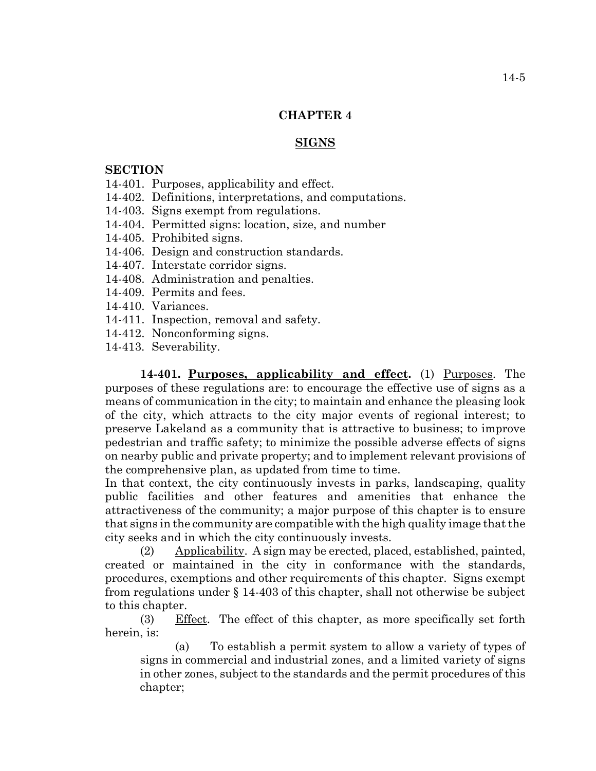## **CHAPTER 4**

#### **SIGNS**

### **SECTION**

- 14-401. Purposes, applicability and effect.
- 14-402. Definitions, interpretations, and computations.
- 14-403. Signs exempt from regulations.
- 14-404. Permitted signs: location, size, and number
- 14-405. Prohibited signs.
- 14-406. Design and construction standards.
- 14-407. Interstate corridor signs.
- 14-408. Administration and penalties.
- 14-409. Permits and fees.
- 14-410. Variances.
- 14-411. Inspection, removal and safety.
- 14-412. Nonconforming signs.
- 14-413. Severability.

**14-401. Purposes, applicability and effect.** (1) Purposes. The purposes of these regulations are: to encourage the effective use of signs as a means of communication in the city; to maintain and enhance the pleasing look of the city, which attracts to the city major events of regional interest; to preserve Lakeland as a community that is attractive to business; to improve pedestrian and traffic safety; to minimize the possible adverse effects of signs on nearby public and private property; and to implement relevant provisions of the comprehensive plan, as updated from time to time.

In that context, the city continuously invests in parks, landscaping, quality public facilities and other features and amenities that enhance the attractiveness of the community; a major purpose of this chapter is to ensure that signs in the community are compatible with the high quality image that the city seeks and in which the city continuously invests.

(2) Applicability. A sign may be erected, placed, established, painted, created or maintained in the city in conformance with the standards, procedures, exemptions and other requirements of this chapter. Signs exempt from regulations under § 14-403 of this chapter, shall not otherwise be subject to this chapter.

(3) Effect. The effect of this chapter, as more specifically set forth herein, is:

(a) To establish a permit system to allow a variety of types of signs in commercial and industrial zones, and a limited variety of signs in other zones, subject to the standards and the permit procedures of this chapter;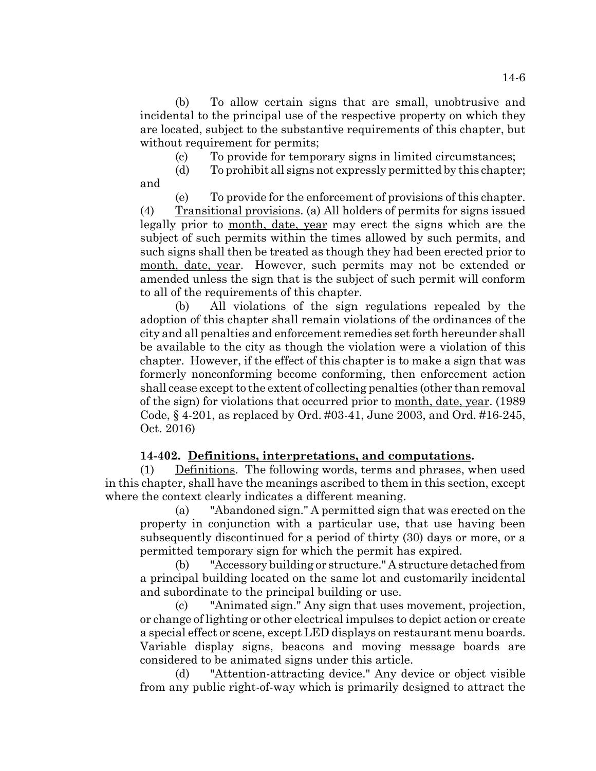(b) To allow certain signs that are small, unobtrusive and incidental to the principal use of the respective property on which they are located, subject to the substantive requirements of this chapter, but without requirement for permits;

(c) To provide for temporary signs in limited circumstances;

(d) To prohibit all signs not expressly permitted by this chapter; and

(e) To provide for the enforcement of provisions of this chapter. (4) Transitional provisions. (a) All holders of permits for signs issued legally prior to month, date, year may erect the signs which are the subject of such permits within the times allowed by such permits, and such signs shall then be treated as though they had been erected prior to month, date, year. However, such permits may not be extended or amended unless the sign that is the subject of such permit will conform to all of the requirements of this chapter.

(b) All violations of the sign regulations repealed by the adoption of this chapter shall remain violations of the ordinances of the city and all penalties and enforcement remedies set forth hereunder shall be available to the city as though the violation were a violation of this chapter. However, if the effect of this chapter is to make a sign that was formerly nonconforming become conforming, then enforcement action shall cease except to the extent of collecting penalties (other than removal of the sign) for violations that occurred prior to month, date, year. (1989 Code, § 4-201, as replaced by Ord. #03-41, June 2003, and Ord. #16-245, Oct. 2016)

## **14-402. Definitions, interpretations, and computations.**

(1) Definitions. The following words, terms and phrases, when used in this chapter, shall have the meanings ascribed to them in this section, except where the context clearly indicates a different meaning.

(a) "Abandoned sign." A permitted sign that was erected on the property in conjunction with a particular use, that use having been subsequently discontinued for a period of thirty (30) days or more, or a permitted temporary sign for which the permit has expired.

(b) "Accessory building or structure." A structure detached from a principal building located on the same lot and customarily incidental and subordinate to the principal building or use.

(c) "Animated sign." Any sign that uses movement, projection, or change of lighting or other electrical impulses to depict action or create a special effect or scene, except LED displays on restaurant menu boards. Variable display signs, beacons and moving message boards are considered to be animated signs under this article.

(d) "Attention-attracting device." Any device or object visible from any public right-of-way which is primarily designed to attract the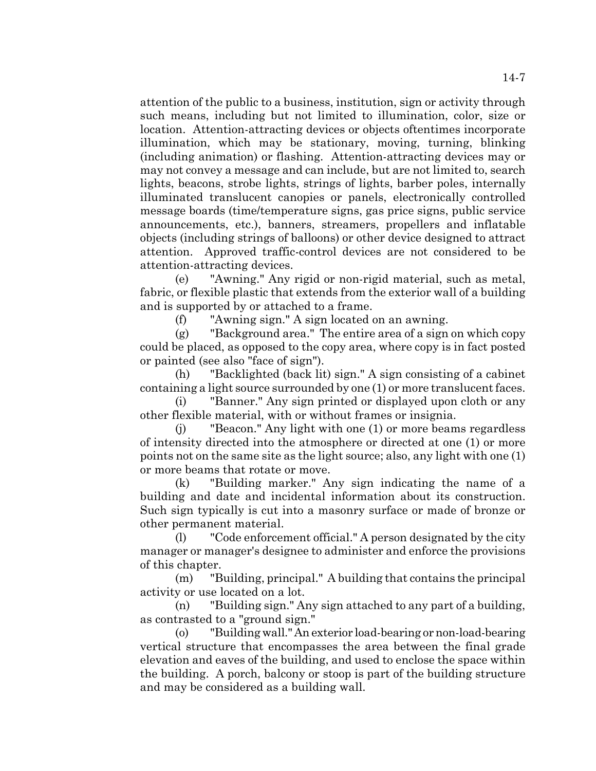attention of the public to a business, institution, sign or activity through such means, including but not limited to illumination, color, size or location. Attention-attracting devices or objects oftentimes incorporate illumination, which may be stationary, moving, turning, blinking (including animation) or flashing. Attention-attracting devices may or may not convey a message and can include, but are not limited to, search lights, beacons, strobe lights, strings of lights, barber poles, internally illuminated translucent canopies or panels, electronically controlled message boards (time/temperature signs, gas price signs, public service announcements, etc.), banners, streamers, propellers and inflatable objects (including strings of balloons) or other device designed to attract attention. Approved traffic-control devices are not considered to be attention-attracting devices.

(e) "Awning." Any rigid or non-rigid material, such as metal, fabric, or flexible plastic that extends from the exterior wall of a building and is supported by or attached to a frame.

(f) "Awning sign." A sign located on an awning.

(g) "Background area." The entire area of a sign on which copy could be placed, as opposed to the copy area, where copy is in fact posted or painted (see also "face of sign").

(h) "Backlighted (back lit) sign." A sign consisting of a cabinet containing a light source surrounded by one (1) or more translucent faces.

(i) "Banner." Any sign printed or displayed upon cloth or any other flexible material, with or without frames or insignia.

(j) "Beacon." Any light with one (1) or more beams regardless of intensity directed into the atmosphere or directed at one (1) or more points not on the same site as the light source; also, any light with one (1) or more beams that rotate or move.

(k) "Building marker." Any sign indicating the name of a building and date and incidental information about its construction. Such sign typically is cut into a masonry surface or made of bronze or other permanent material.

(l) "Code enforcement official." A person designated by the city manager or manager's designee to administer and enforce the provisions of this chapter.

(m) "Building, principal." A building that contains the principal activity or use located on a lot.

(n) "Building sign." Any sign attached to any part of a building, as contrasted to a "ground sign."

(o) "Building wall." An exterior load-bearing or non-load-bearing vertical structure that encompasses the area between the final grade elevation and eaves of the building, and used to enclose the space within the building. A porch, balcony or stoop is part of the building structure and may be considered as a building wall.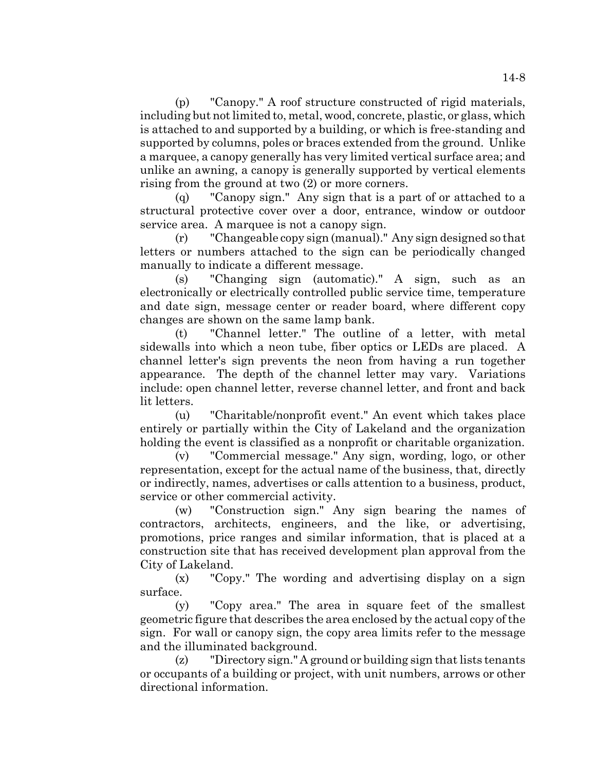(p) "Canopy." A roof structure constructed of rigid materials, including but not limited to, metal, wood, concrete, plastic, or glass, which is attached to and supported by a building, or which is free-standing and supported by columns, poles or braces extended from the ground. Unlike a marquee, a canopy generally has very limited vertical surface area; and unlike an awning, a canopy is generally supported by vertical elements rising from the ground at two (2) or more corners.

(q) "Canopy sign." Any sign that is a part of or attached to a structural protective cover over a door, entrance, window or outdoor service area. A marquee is not a canopy sign.

(r) "Changeable copy sign (manual)." Any sign designed so that letters or numbers attached to the sign can be periodically changed manually to indicate a different message.

(s) "Changing sign (automatic)." A sign, such as an electronically or electrically controlled public service time, temperature and date sign, message center or reader board, where different copy changes are shown on the same lamp bank.

(t) "Channel letter." The outline of a letter, with metal sidewalls into which a neon tube, fiber optics or LEDs are placed. A channel letter's sign prevents the neon from having a run together appearance. The depth of the channel letter may vary. Variations include: open channel letter, reverse channel letter, and front and back lit letters.

(u) "Charitable/nonprofit event." An event which takes place entirely or partially within the City of Lakeland and the organization holding the event is classified as a nonprofit or charitable organization.

(v) "Commercial message." Any sign, wording, logo, or other representation, except for the actual name of the business, that, directly or indirectly, names, advertises or calls attention to a business, product, service or other commercial activity.

(w) "Construction sign." Any sign bearing the names of contractors, architects, engineers, and the like, or advertising, promotions, price ranges and similar information, that is placed at a construction site that has received development plan approval from the City of Lakeland.

(x) "Copy." The wording and advertising display on a sign surface.

(y) "Copy area." The area in square feet of the smallest geometric figure that describes the area enclosed by the actual copy of the sign. For wall or canopy sign, the copy area limits refer to the message and the illuminated background.

(z) "Directory sign." A ground or building sign that lists tenants or occupants of a building or project, with unit numbers, arrows or other directional information.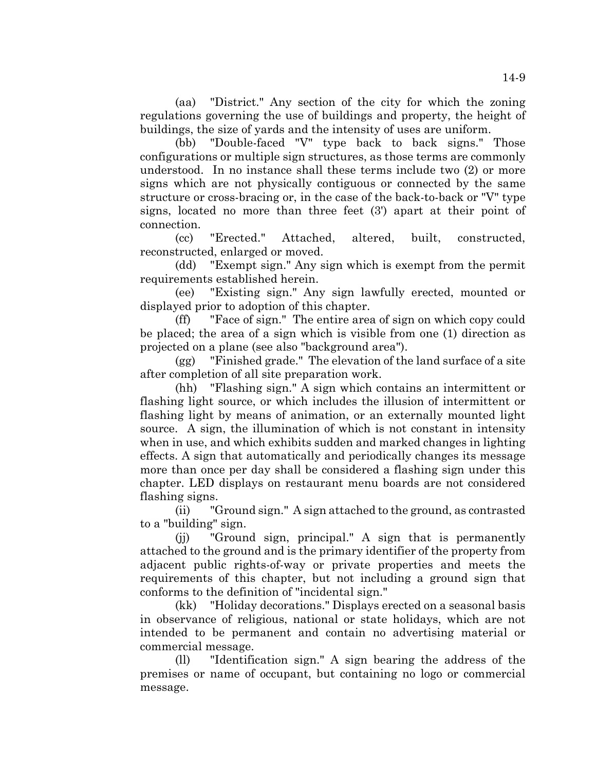(aa) "District." Any section of the city for which the zoning regulations governing the use of buildings and property, the height of buildings, the size of yards and the intensity of uses are uniform.

(bb) "Double-faced "V" type back to back signs." Those configurations or multiple sign structures, as those terms are commonly understood. In no instance shall these terms include two (2) or more signs which are not physically contiguous or connected by the same structure or cross-bracing or, in the case of the back-to-back or "V" type signs, located no more than three feet (3') apart at their point of connection.

(cc) "Erected." Attached, altered, built, constructed, reconstructed, enlarged or moved.

(dd) "Exempt sign." Any sign which is exempt from the permit requirements established herein.

(ee) "Existing sign." Any sign lawfully erected, mounted or displayed prior to adoption of this chapter.

(ff) "Face of sign." The entire area of sign on which copy could be placed; the area of a sign which is visible from one (1) direction as projected on a plane (see also "background area").

(gg) "Finished grade." The elevation of the land surface of a site after completion of all site preparation work.

(hh) "Flashing sign." A sign which contains an intermittent or flashing light source, or which includes the illusion of intermittent or flashing light by means of animation, or an externally mounted light source. A sign, the illumination of which is not constant in intensity when in use, and which exhibits sudden and marked changes in lighting effects. A sign that automatically and periodically changes its message more than once per day shall be considered a flashing sign under this chapter. LED displays on restaurant menu boards are not considered flashing signs.

(ii) "Ground sign." A sign attached to the ground, as contrasted to a "building" sign.

(jj) "Ground sign, principal." A sign that is permanently attached to the ground and is the primary identifier of the property from adjacent public rights-of-way or private properties and meets the requirements of this chapter, but not including a ground sign that conforms to the definition of "incidental sign."

(kk) "Holiday decorations." Displays erected on a seasonal basis in observance of religious, national or state holidays, which are not intended to be permanent and contain no advertising material or commercial message.

(ll) "Identification sign." A sign bearing the address of the premises or name of occupant, but containing no logo or commercial message.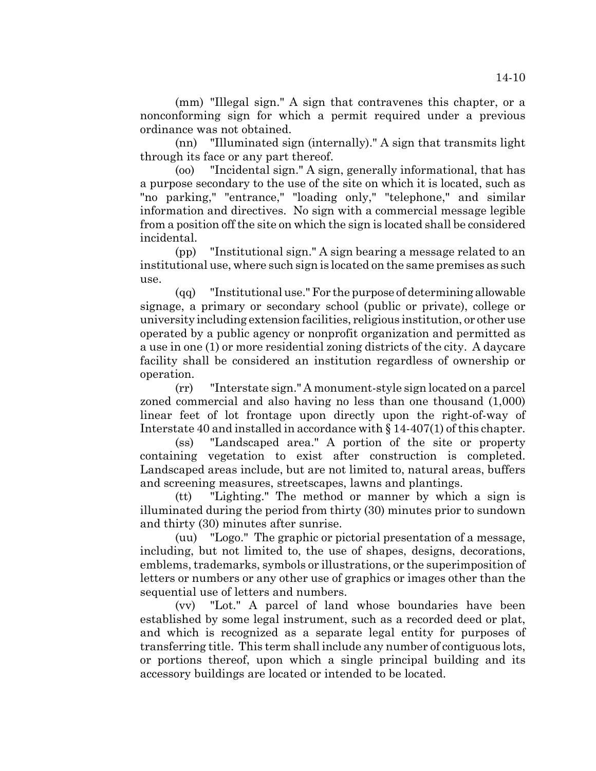(mm) "Illegal sign." A sign that contravenes this chapter, or a nonconforming sign for which a permit required under a previous ordinance was not obtained.

(nn) "Illuminated sign (internally)." A sign that transmits light through its face or any part thereof.

(oo) "Incidental sign." A sign, generally informational, that has a purpose secondary to the use of the site on which it is located, such as "no parking," "entrance," "loading only," "telephone," and similar information and directives. No sign with a commercial message legible from a position off the site on which the sign is located shall be considered incidental.

(pp) "Institutional sign." A sign bearing a message related to an institutional use, where such sign is located on the same premises as such use.

(qq) "Institutional use." For the purpose of determining allowable signage, a primary or secondary school (public or private), college or university including extension facilities, religious institution, or other use operated by a public agency or nonprofit organization and permitted as a use in one (1) or more residential zoning districts of the city. A daycare facility shall be considered an institution regardless of ownership or operation.

(rr) "Interstate sign." A monument-style sign located on a parcel zoned commercial and also having no less than one thousand (1,000) linear feet of lot frontage upon directly upon the right-of-way of Interstate 40 and installed in accordance with § 14-407(1) of this chapter.

(ss) "Landscaped area." A portion of the site or property containing vegetation to exist after construction is completed. Landscaped areas include, but are not limited to, natural areas, buffers and screening measures, streetscapes, lawns and plantings.

(tt) "Lighting." The method or manner by which a sign is illuminated during the period from thirty (30) minutes prior to sundown and thirty (30) minutes after sunrise.

(uu) "Logo." The graphic or pictorial presentation of a message, including, but not limited to, the use of shapes, designs, decorations, emblems, trademarks, symbols or illustrations, or the superimposition of letters or numbers or any other use of graphics or images other than the sequential use of letters and numbers.

(vv) "Lot." A parcel of land whose boundaries have been established by some legal instrument, such as a recorded deed or plat, and which is recognized as a separate legal entity for purposes of transferring title. This term shall include any number of contiguous lots, or portions thereof, upon which a single principal building and its accessory buildings are located or intended to be located.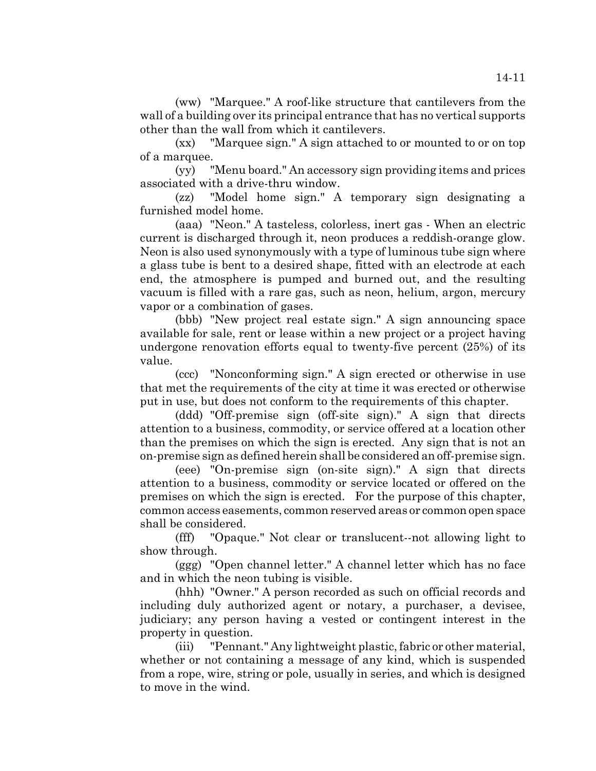(ww) "Marquee." A roof-like structure that cantilevers from the wall of a building over its principal entrance that has no vertical supports other than the wall from which it cantilevers.

(xx) "Marquee sign." A sign attached to or mounted to or on top of a marquee.

(yy) "Menu board." An accessory sign providing items and prices associated with a drive-thru window.

(zz) "Model home sign." A temporary sign designating a furnished model home.

(aaa) "Neon." A tasteless, colorless, inert gas - When an electric current is discharged through it, neon produces a reddish-orange glow. Neon is also used synonymously with a type of luminous tube sign where a glass tube is bent to a desired shape, fitted with an electrode at each end, the atmosphere is pumped and burned out, and the resulting vacuum is filled with a rare gas, such as neon, helium, argon, mercury vapor or a combination of gases.

(bbb) "New project real estate sign." A sign announcing space available for sale, rent or lease within a new project or a project having undergone renovation efforts equal to twenty-five percent (25%) of its value.

(ccc) "Nonconforming sign." A sign erected or otherwise in use that met the requirements of the city at time it was erected or otherwise put in use, but does not conform to the requirements of this chapter.

(ddd) "Off-premise sign (off-site sign)." A sign that directs attention to a business, commodity, or service offered at a location other than the premises on which the sign is erected. Any sign that is not an on-premise sign as defined herein shall be considered an off-premise sign.

(eee) "On-premise sign (on-site sign)." A sign that directs attention to a business, commodity or service located or offered on the premises on which the sign is erected. For the purpose of this chapter, common access easements, common reserved areas or common open space shall be considered.

(fff) "Opaque." Not clear or translucent--not allowing light to show through.

(ggg) "Open channel letter." A channel letter which has no face and in which the neon tubing is visible.

(hhh) "Owner." A person recorded as such on official records and including duly authorized agent or notary, a purchaser, a devisee, judiciary; any person having a vested or contingent interest in the property in question.

(iii) "Pennant." Any lightweight plastic, fabric or other material, whether or not containing a message of any kind, which is suspended from a rope, wire, string or pole, usually in series, and which is designed to move in the wind.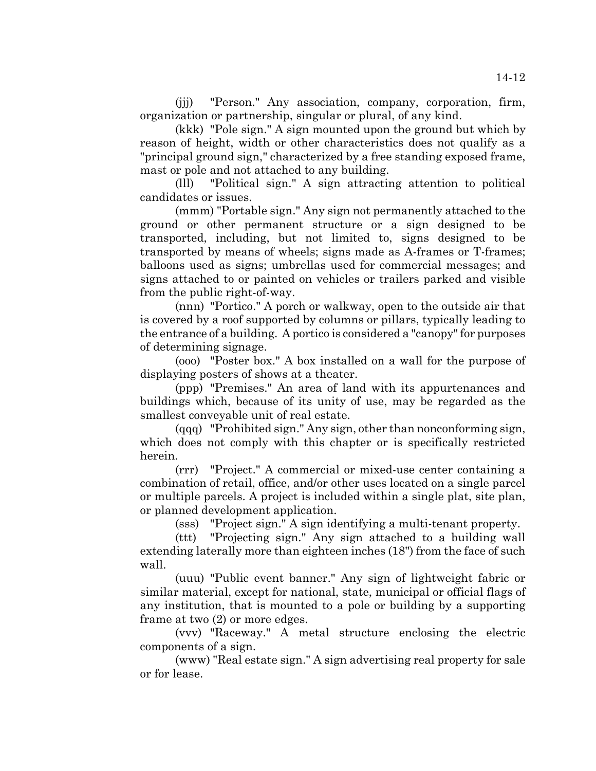(jjj) "Person." Any association, company, corporation, firm, organization or partnership, singular or plural, of any kind.

(kkk) "Pole sign." A sign mounted upon the ground but which by reason of height, width or other characteristics does not qualify as a "principal ground sign," characterized by a free standing exposed frame, mast or pole and not attached to any building.

(lll) "Political sign." A sign attracting attention to political candidates or issues.

(mmm) "Portable sign." Any sign not permanently attached to the ground or other permanent structure or a sign designed to be transported, including, but not limited to, signs designed to be transported by means of wheels; signs made as A-frames or T-frames; balloons used as signs; umbrellas used for commercial messages; and signs attached to or painted on vehicles or trailers parked and visible from the public right-of-way.

(nnn) "Portico." A porch or walkway, open to the outside air that is covered by a roof supported by columns or pillars, typically leading to the entrance of a building. A portico is considered a "canopy" for purposes of determining signage.

(ooo) "Poster box." A box installed on a wall for the purpose of displaying posters of shows at a theater.

(ppp) "Premises." An area of land with its appurtenances and buildings which, because of its unity of use, may be regarded as the smallest conveyable unit of real estate.

(qqq) "Prohibited sign." Any sign, other than nonconforming sign, which does not comply with this chapter or is specifically restricted herein.

(rrr) "Project." A commercial or mixed-use center containing a combination of retail, office, and/or other uses located on a single parcel or multiple parcels. A project is included within a single plat, site plan, or planned development application.

(sss) "Project sign." A sign identifying a multi-tenant property.

(ttt) "Projecting sign." Any sign attached to a building wall extending laterally more than eighteen inches (18") from the face of such wall.

(uuu) "Public event banner." Any sign of lightweight fabric or similar material, except for national, state, municipal or official flags of any institution, that is mounted to a pole or building by a supporting frame at two (2) or more edges.

(vvv) "Raceway." A metal structure enclosing the electric components of a sign.

(www) "Real estate sign." A sign advertising real property for sale or for lease.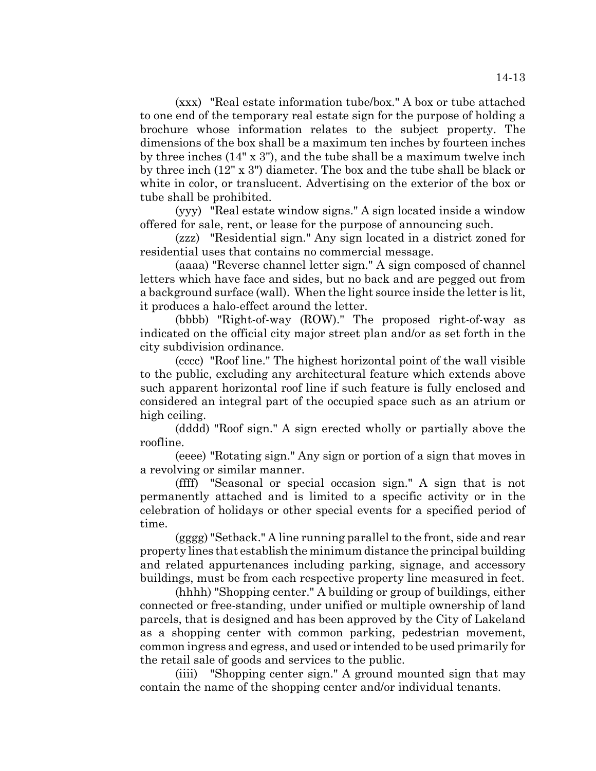(xxx) "Real estate information tube/box." A box or tube attached to one end of the temporary real estate sign for the purpose of holding a brochure whose information relates to the subject property. The dimensions of the box shall be a maximum ten inches by fourteen inches by three inches (14" x 3"), and the tube shall be a maximum twelve inch by three inch (12" x 3") diameter. The box and the tube shall be black or white in color, or translucent. Advertising on the exterior of the box or tube shall be prohibited.

(yyy) "Real estate window signs." A sign located inside a window offered for sale, rent, or lease for the purpose of announcing such.

(zzz) "Residential sign." Any sign located in a district zoned for residential uses that contains no commercial message.

(aaaa) "Reverse channel letter sign." A sign composed of channel letters which have face and sides, but no back and are pegged out from a background surface (wall). When the light source inside the letter is lit, it produces a halo-effect around the letter.

(bbbb) "Right-of-way (ROW)." The proposed right-of-way as indicated on the official city major street plan and/or as set forth in the city subdivision ordinance.

(cccc) "Roof line." The highest horizontal point of the wall visible to the public, excluding any architectural feature which extends above such apparent horizontal roof line if such feature is fully enclosed and considered an integral part of the occupied space such as an atrium or high ceiling.

(dddd) "Roof sign." A sign erected wholly or partially above the roofline.

(eeee) "Rotating sign." Any sign or portion of a sign that moves in a revolving or similar manner.

(ffff) "Seasonal or special occasion sign." A sign that is not permanently attached and is limited to a specific activity or in the celebration of holidays or other special events for a specified period of time.

(gggg) "Setback." A line running parallel to the front, side and rear property lines that establish the minimum distance the principal building and related appurtenances including parking, signage, and accessory buildings, must be from each respective property line measured in feet.

(hhhh) "Shopping center." A building or group of buildings, either connected or free-standing, under unified or multiple ownership of land parcels, that is designed and has been approved by the City of Lakeland as a shopping center with common parking, pedestrian movement, common ingress and egress, and used or intended to be used primarily for the retail sale of goods and services to the public.

(iiii) "Shopping center sign." A ground mounted sign that may contain the name of the shopping center and/or individual tenants.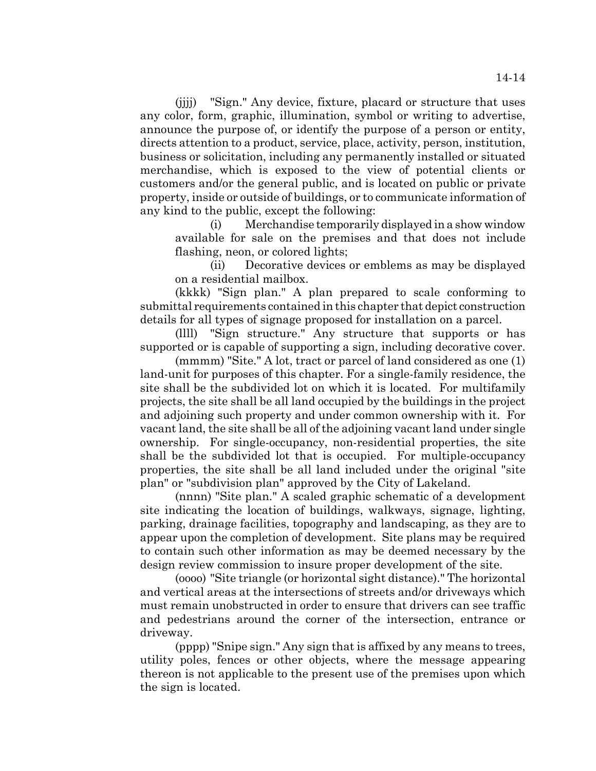(jjjj) "Sign." Any device, fixture, placard or structure that uses any color, form, graphic, illumination, symbol or writing to advertise, announce the purpose of, or identify the purpose of a person or entity, directs attention to a product, service, place, activity, person, institution, business or solicitation, including any permanently installed or situated merchandise, which is exposed to the view of potential clients or customers and/or the general public, and is located on public or private property, inside or outside of buildings, or to communicate information of any kind to the public, except the following:

(i) Merchandise temporarily displayed in a show window available for sale on the premises and that does not include flashing, neon, or colored lights;

(ii) Decorative devices or emblems as may be displayed on a residential mailbox.

(kkkk) "Sign plan." A plan prepared to scale conforming to submittal requirements contained in this chapter that depict construction details for all types of signage proposed for installation on a parcel.

(llll) "Sign structure." Any structure that supports or has supported or is capable of supporting a sign, including decorative cover.

(mmmm) "Site." A lot, tract or parcel of land considered as one (1) land-unit for purposes of this chapter. For a single-family residence, the site shall be the subdivided lot on which it is located. For multifamily projects, the site shall be all land occupied by the buildings in the project and adjoining such property and under common ownership with it. For vacant land, the site shall be all of the adjoining vacant land under single ownership. For single-occupancy, non-residential properties, the site shall be the subdivided lot that is occupied. For multiple-occupancy properties, the site shall be all land included under the original "site plan" or "subdivision plan" approved by the City of Lakeland.

(nnnn) "Site plan." A scaled graphic schematic of a development site indicating the location of buildings, walkways, signage, lighting, parking, drainage facilities, topography and landscaping, as they are to appear upon the completion of development. Site plans may be required to contain such other information as may be deemed necessary by the design review commission to insure proper development of the site.

(oooo) "Site triangle (or horizontal sight distance)." The horizontal and vertical areas at the intersections of streets and/or driveways which must remain unobstructed in order to ensure that drivers can see traffic and pedestrians around the corner of the intersection, entrance or driveway.

(pppp) "Snipe sign." Any sign that is affixed by any means to trees, utility poles, fences or other objects, where the message appearing thereon is not applicable to the present use of the premises upon which the sign is located.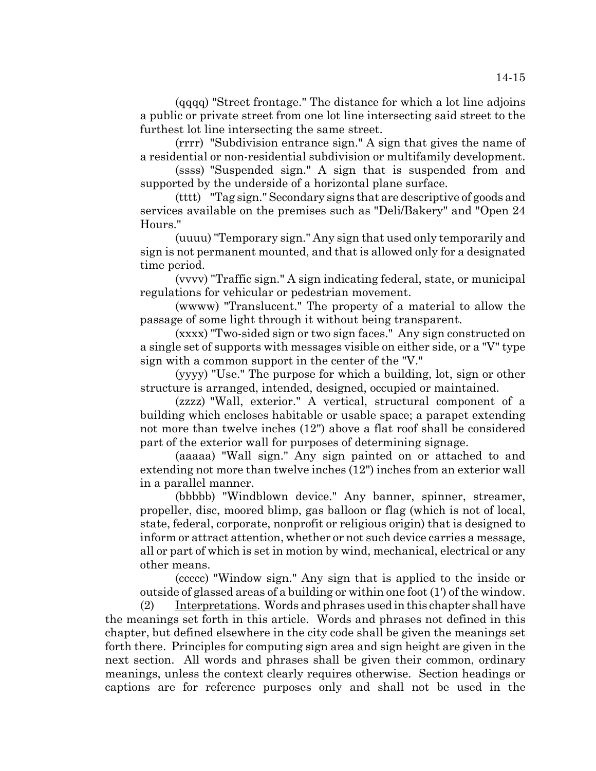(qqqq) "Street frontage." The distance for which a lot line adjoins a public or private street from one lot line intersecting said street to the furthest lot line intersecting the same street.

(rrrr) "Subdivision entrance sign." A sign that gives the name of a residential or non-residential subdivision or multifamily development.

(ssss) "Suspended sign." A sign that is suspended from and supported by the underside of a horizontal plane surface.

(tttt) "Tag sign." Secondary signs that are descriptive of goods and services available on the premises such as "Deli/Bakery" and "Open 24 Hours."

(uuuu) "Temporary sign." Any sign that used only temporarily and sign is not permanent mounted, and that is allowed only for a designated time period.

(vvvv) "Traffic sign." A sign indicating federal, state, or municipal regulations for vehicular or pedestrian movement.

(wwww) "Translucent." The property of a material to allow the passage of some light through it without being transparent.

(xxxx) "Two-sided sign or two sign faces." Any sign constructed on a single set of supports with messages visible on either side, or a "V" type sign with a common support in the center of the "V."

(yyyy) "Use." The purpose for which a building, lot, sign or other structure is arranged, intended, designed, occupied or maintained.

(zzzz) "Wall, exterior." A vertical, structural component of a building which encloses habitable or usable space; a parapet extending not more than twelve inches (12") above a flat roof shall be considered part of the exterior wall for purposes of determining signage.

(aaaaa) "Wall sign." Any sign painted on or attached to and extending not more than twelve inches (12") inches from an exterior wall in a parallel manner.

(bbbbb) "Windblown device." Any banner, spinner, streamer, propeller, disc, moored blimp, gas balloon or flag (which is not of local, state, federal, corporate, nonprofit or religious origin) that is designed to inform or attract attention, whether or not such device carries a message, all or part of which is set in motion by wind, mechanical, electrical or any other means.

(ccccc) "Window sign." Any sign that is applied to the inside or outside of glassed areas of a building or within one foot (1') of the window.

(2) Interpretations. Words and phrases used in this chapter shall have the meanings set forth in this article. Words and phrases not defined in this chapter, but defined elsewhere in the city code shall be given the meanings set forth there. Principles for computing sign area and sign height are given in the next section. All words and phrases shall be given their common, ordinary meanings, unless the context clearly requires otherwise. Section headings or captions are for reference purposes only and shall not be used in the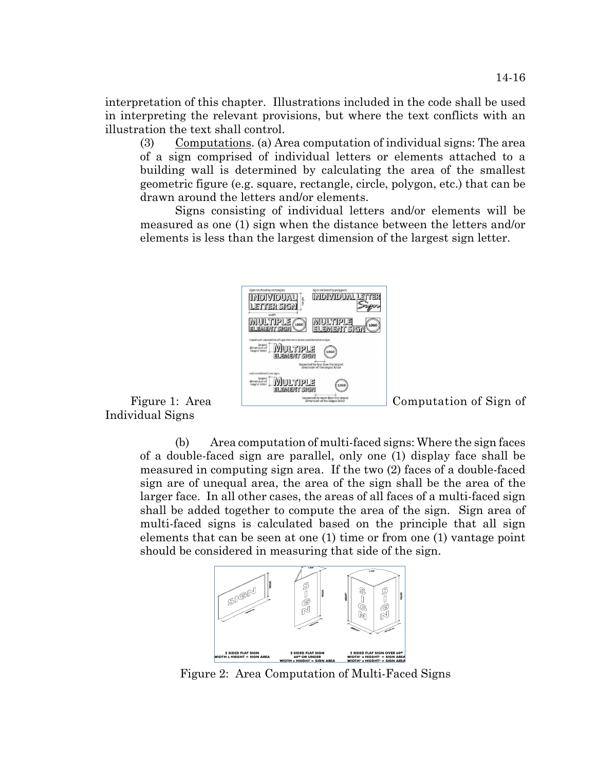interpretation of this chapter. Illustrations included in the code shall be used in interpreting the relevant provisions, but where the text conflicts with an illustration the text shall control.

(3) Computations. (a) Area computation of individual signs: The area of a sign comprised of individual letters or elements attached to a building wall is determined by calculating the area of the smallest geometric figure (e.g. square, rectangle, circle, polygon, etc.) that can be drawn around the letters and/or elements.

Signs consisting of individual letters and/or elements will be measured as one (1) sign when the distance between the letters and/or elements is less than the largest dimension of the largest sign letter.



Individual Signs

(b) Area computation of multi-faced signs: Where the sign faces of a double-faced sign are parallel, only one (1) display face shall be measured in computing sign area. If the two (2) faces of a double-faced sign are of unequal area, the area of the sign shall be the area of the larger face. In all other cases, the areas of all faces of a multi-faced sign shall be added together to compute the area of the sign. Sign area of multi-faced signs is calculated based on the principle that all sign elements that can be seen at one (1) time or from one (1) vantage point should be considered in measuring that side of the sign.



Figure 2: Area Computation of Multi-Faced Signs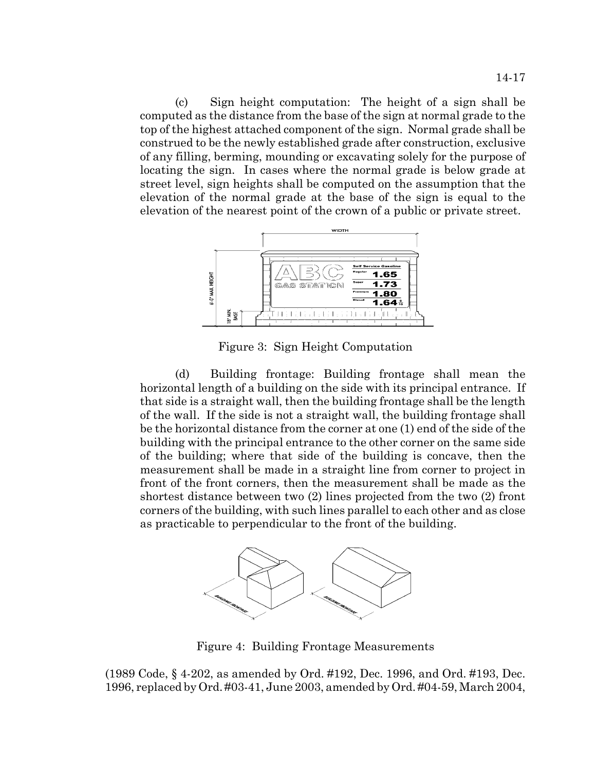(c) Sign height computation: The height of a sign shall be computed as the distance from the base of the sign at normal grade to the top of the highest attached component of the sign. Normal grade shall be construed to be the newly established grade after construction, exclusive of any filling, berming, mounding or excavating solely for the purpose of locating the sign. In cases where the normal grade is below grade at street level, sign heights shall be computed on the assumption that the elevation of the normal grade at the base of the sign is equal to the elevation of the nearest point of the crown of a public or private street.



Figure 3: Sign Height Computation

(d) Building frontage: Building frontage shall mean the horizontal length of a building on the side with its principal entrance. If that side is a straight wall, then the building frontage shall be the length of the wall. If the side is not a straight wall, the building frontage shall be the horizontal distance from the corner at one (1) end of the side of the building with the principal entrance to the other corner on the same side of the building; where that side of the building is concave, then the measurement shall be made in a straight line from corner to project in front of the front corners, then the measurement shall be made as the shortest distance between two (2) lines projected from the two (2) front corners of the building, with such lines parallel to each other and as close as practicable to perpendicular to the front of the building.



Figure 4: Building Frontage Measurements

(1989 Code, § 4-202, as amended by Ord. #192, Dec. 1996, and Ord. #193, Dec. 1996, replaced by Ord. #03-41, June 2003, amended by Ord. #04-59, March 2004,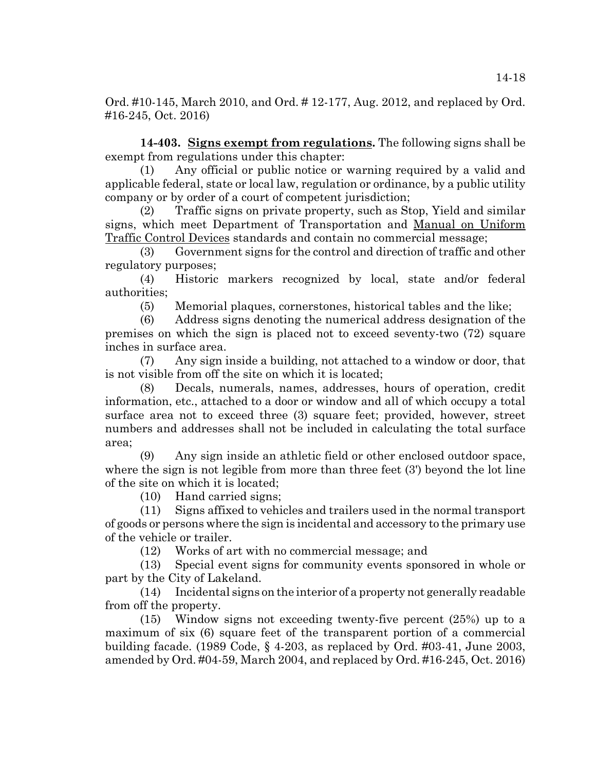Ord. #10-145, March 2010, and Ord. # 12-177, Aug. 2012, and replaced by Ord. #16-245, Oct. 2016)

**14-403. Signs exempt from regulations.** The following signs shall be exempt from regulations under this chapter:

(1) Any official or public notice or warning required by a valid and applicable federal, state or local law, regulation or ordinance, by a public utility company or by order of a court of competent jurisdiction;

(2) Traffic signs on private property, such as Stop, Yield and similar signs, which meet Department of Transportation and Manual on Uniform Traffic Control Devices standards and contain no commercial message;

(3) Government signs for the control and direction of traffic and other regulatory purposes;

(4) Historic markers recognized by local, state and/or federal authorities;

(5) Memorial plaques, cornerstones, historical tables and the like;

(6) Address signs denoting the numerical address designation of the premises on which the sign is placed not to exceed seventy-two (72) square inches in surface area.

(7) Any sign inside a building, not attached to a window or door, that is not visible from off the site on which it is located;

(8) Decals, numerals, names, addresses, hours of operation, credit information, etc., attached to a door or window and all of which occupy a total surface area not to exceed three (3) square feet; provided, however, street numbers and addresses shall not be included in calculating the total surface area;

(9) Any sign inside an athletic field or other enclosed outdoor space, where the sign is not legible from more than three feet (3') beyond the lot line of the site on which it is located;

(10) Hand carried signs;

(11) Signs affixed to vehicles and trailers used in the normal transport of goods or persons where the sign is incidental and accessory to the primary use of the vehicle or trailer.

(12) Works of art with no commercial message; and

(13) Special event signs for community events sponsored in whole or part by the City of Lakeland.

(14) Incidental signs on the interior of a property not generally readable from off the property.

(15) Window signs not exceeding twenty-five percent (25%) up to a maximum of six (6) square feet of the transparent portion of a commercial building facade. (1989 Code, § 4-203, as replaced by Ord. #03-41, June 2003, amended by Ord. #04-59, March 2004, and replaced by Ord. #16-245, Oct. 2016)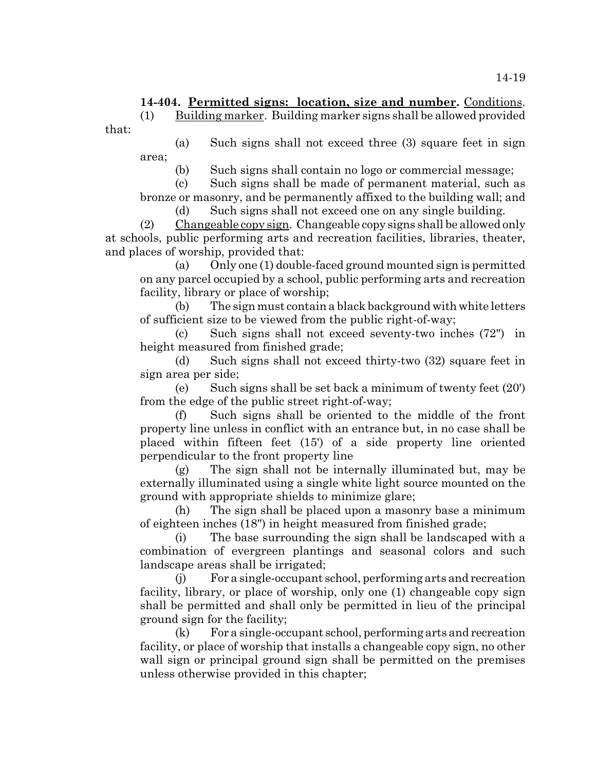# **14-404. Permitted signs: location, size and number.** Conditions.

 $(1)$  Building marker. Building marker signs shall be allowed provided

that:

(a) Such signs shall not exceed three (3) square feet in sign area;

(b) Such signs shall contain no logo or commercial message;

(c) Such signs shall be made of permanent material, such as bronze or masonry, and be permanently affixed to the building wall; and

(d) Such signs shall not exceed one on any single building.

 $(2)$  Changeable copy sign. Changeable copy signs shall be allowed only at schools, public performing arts and recreation facilities, libraries, theater, and places of worship, provided that:

(a) Only one (1) double-faced ground mounted sign is permitted on any parcel occupied by a school, public performing arts and recreation facility, library or place of worship;

(b) The sign must contain a black background with white letters of sufficient size to be viewed from the public right-of-way;

(c) Such signs shall not exceed seventy-two inches (72") in height measured from finished grade;

(d) Such signs shall not exceed thirty-two (32) square feet in sign area per side;

(e) Such signs shall be set back a minimum of twenty feet (20') from the edge of the public street right-of-way;

(f) Such signs shall be oriented to the middle of the front property line unless in conflict with an entrance but, in no case shall be placed within fifteen feet (15') of a side property line oriented perpendicular to the front property line

(g) The sign shall not be internally illuminated but, may be externally illuminated using a single white light source mounted on the ground with appropriate shields to minimize glare;

(h) The sign shall be placed upon a masonry base a minimum of eighteen inches (18") in height measured from finished grade;

(i) The base surrounding the sign shall be landscaped with a combination of evergreen plantings and seasonal colors and such landscape areas shall be irrigated;

(j) For a single-occupant school, performing arts and recreation facility, library, or place of worship, only one (1) changeable copy sign shall be permitted and shall only be permitted in lieu of the principal ground sign for the facility;

(k) For a single-occupant school, performing arts and recreation facility, or place of worship that installs a changeable copy sign, no other wall sign or principal ground sign shall be permitted on the premises unless otherwise provided in this chapter;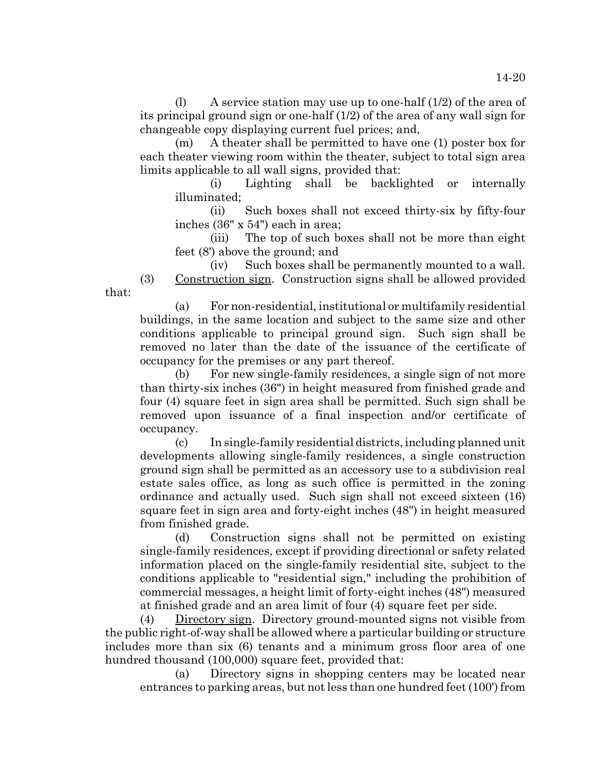(1) A service station may use up to one-half  $(1/2)$  of the area of its principal ground sign or one-half (1/2) of the area of any wall sign for changeable copy displaying current fuel prices; and,

(m) A theater shall be permitted to have one (1) poster box for each theater viewing room within the theater, subject to total sign area limits applicable to all wall signs, provided that:

(i) Lighting shall be backlighted or internally illuminated;

(ii) Such boxes shall not exceed thirty-six by fifty-four inches (36" x 54") each in area;

(iii) The top of such boxes shall not be more than eight feet (8') above the ground; and

(iv) Such boxes shall be permanently mounted to a wall. (3) Construction sign. Construction signs shall be allowed provided

that:

(a) For non-residential, institutional or multifamily residential buildings, in the same location and subject to the same size and other conditions applicable to principal ground sign. Such sign shall be removed no later than the date of the issuance of the certificate of occupancy for the premises or any part thereof.

(b) For new single-family residences, a single sign of not more than thirty-six inches (36") in height measured from finished grade and four (4) square feet in sign area shall be permitted. Such sign shall be removed upon issuance of a final inspection and/or certificate of occupancy.

(c) In single-family residential districts, including planned unit developments allowing single-family residences, a single construction ground sign shall be permitted as an accessory use to a subdivision real estate sales office, as long as such office is permitted in the zoning ordinance and actually used. Such sign shall not exceed sixteen (16) square feet in sign area and forty-eight inches (48") in height measured from finished grade.

(d) Construction signs shall not be permitted on existing single-family residences, except if providing directional or safety related information placed on the single-family residential site, subject to the conditions applicable to "residential sign," including the prohibition of commercial messages, a height limit of forty-eight inches (48") measured at finished grade and an area limit of four (4) square feet per side.

(4) Directory sign. Directory ground-mounted signs not visible from the public right-of-way shall be allowed where a particular building or structure includes more than six (6) tenants and a minimum gross floor area of one hundred thousand (100,000) square feet, provided that:

(a) Directory signs in shopping centers may be located near entrances to parking areas, but not less than one hundred feet (100') from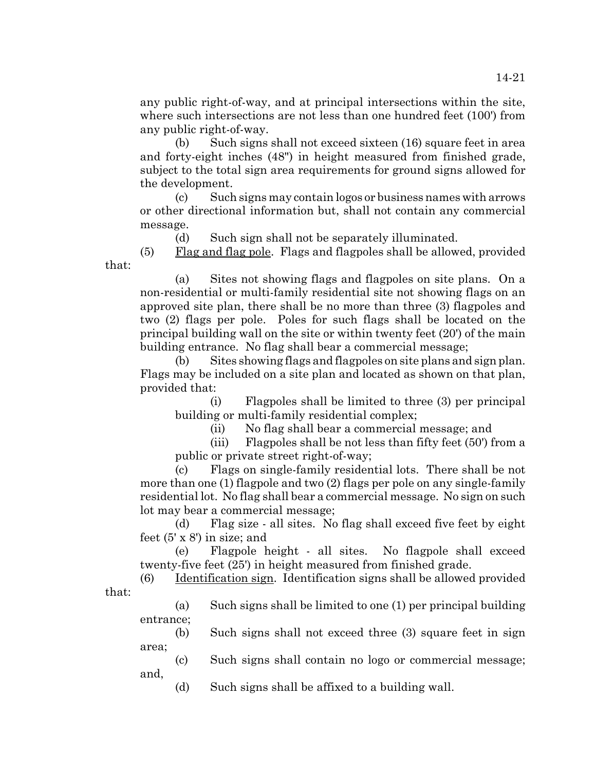any public right-of-way, and at principal intersections within the site, where such intersections are not less than one hundred feet (100') from any public right-of-way.

(b) Such signs shall not exceed sixteen (16) square feet in area and forty-eight inches (48") in height measured from finished grade, subject to the total sign area requirements for ground signs allowed for the development.

(c) Such signs may contain logos or business names with arrows or other directional information but, shall not contain any commercial message.

(d) Such sign shall not be separately illuminated.

 $(5)$  Flag and flag pole. Flags and flagpoles shall be allowed, provided that:

(a) Sites not showing flags and flagpoles on site plans. On a non-residential or multi-family residential site not showing flags on an approved site plan, there shall be no more than three (3) flagpoles and two (2) flags per pole. Poles for such flags shall be located on the principal building wall on the site or within twenty feet (20') of the main building entrance. No flag shall bear a commercial message;

(b) Sites showing flags and flagpoles on site plans and sign plan. Flags may be included on a site plan and located as shown on that plan, provided that:

(i) Flagpoles shall be limited to three (3) per principal building or multi-family residential complex;

(ii) No flag shall bear a commercial message; and

(iii) Flagpoles shall be not less than fifty feet (50') from a public or private street right-of-way;

(c) Flags on single-family residential lots. There shall be not more than one (1) flagpole and two (2) flags per pole on any single-family residential lot. No flag shall bear a commercial message. No sign on such lot may bear a commercial message;

(d) Flag size - all sites. No flag shall exceed five feet by eight feet (5' x 8') in size; and

(e) Flagpole height - all sites. No flagpole shall exceed twenty-five feet (25') in height measured from finished grade.

(6) Identification sign. Identification signs shall be allowed provided that:

(a) Such signs shall be limited to one (1) per principal building entrance;

(b) Such signs shall not exceed three (3) square feet in sign area;

(c) Such signs shall contain no logo or commercial message; and,

(d) Such signs shall be affixed to a building wall.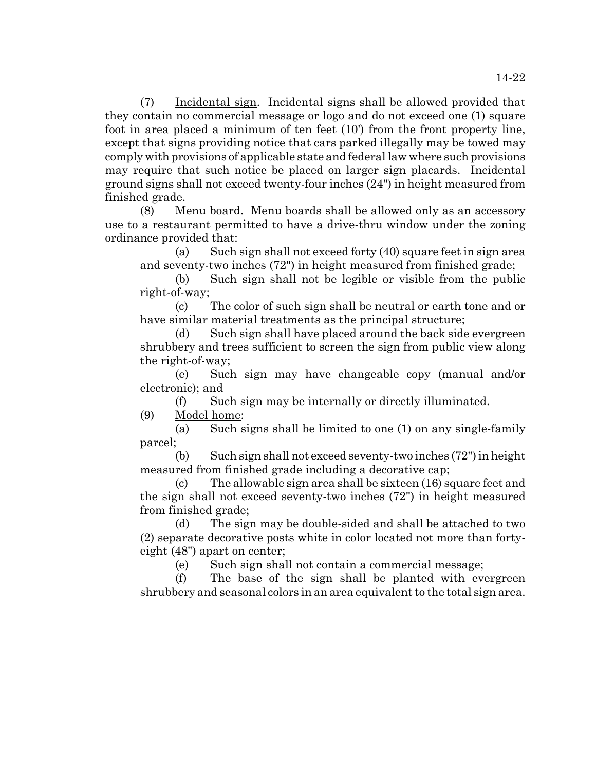(7) Incidental sign. Incidental signs shall be allowed provided that they contain no commercial message or logo and do not exceed one (1) square foot in area placed a minimum of ten feet (10') from the front property line, except that signs providing notice that cars parked illegally may be towed may comply with provisions of applicable state and federal law where such provisions may require that such notice be placed on larger sign placards. Incidental ground signs shall not exceed twenty-four inches (24") in height measured from finished grade.

(8) Menu board. Menu boards shall be allowed only as an accessory use to a restaurant permitted to have a drive-thru window under the zoning ordinance provided that:

(a) Such sign shall not exceed forty  $(40)$  square feet in sign area and seventy-two inches (72") in height measured from finished grade;

(b) Such sign shall not be legible or visible from the public right-of-way;

(c) The color of such sign shall be neutral or earth tone and or have similar material treatments as the principal structure;

(d) Such sign shall have placed around the back side evergreen shrubbery and trees sufficient to screen the sign from public view along the right-of-way;

(e) Such sign may have changeable copy (manual and/or electronic); and

(f) Such sign may be internally or directly illuminated.

(9) Model home:

(a) Such signs shall be limited to one (1) on any single-family parcel;

(b) Such sign shall not exceed seventy-two inches (72") in height measured from finished grade including a decorative cap;

(c) The allowable sign area shall be sixteen (16) square feet and the sign shall not exceed seventy-two inches (72") in height measured from finished grade;

(d) The sign may be double-sided and shall be attached to two (2) separate decorative posts white in color located not more than fortyeight (48") apart on center;

(e) Such sign shall not contain a commercial message;

(f) The base of the sign shall be planted with evergreen shrubbery and seasonal colors in an area equivalent to the total sign area.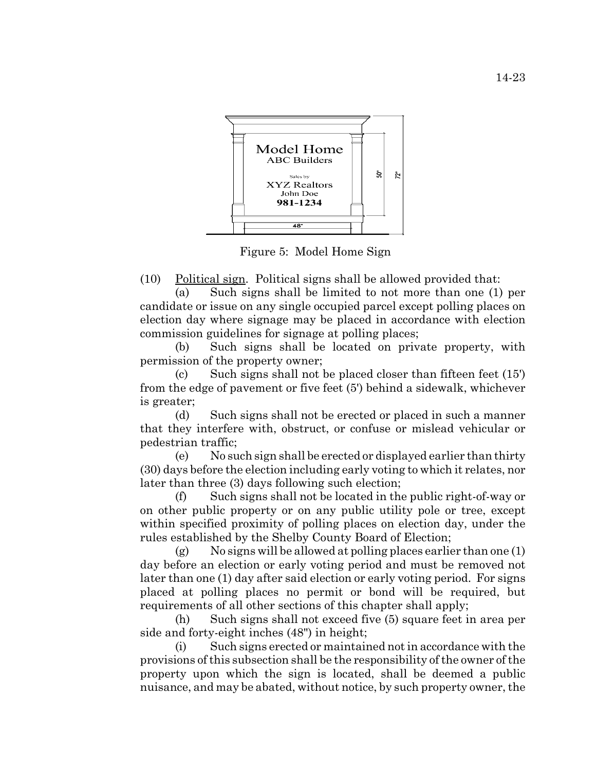

Figure 5: Model Home Sign

(10) Political sign. Political signs shall be allowed provided that:

(a) Such signs shall be limited to not more than one (1) per candidate or issue on any single occupied parcel except polling places on election day where signage may be placed in accordance with election commission guidelines for signage at polling places;

(b) Such signs shall be located on private property, with permission of the property owner;

(c) Such signs shall not be placed closer than fifteen feet (15') from the edge of pavement or five feet (5') behind a sidewalk, whichever is greater;

(d) Such signs shall not be erected or placed in such a manner that they interfere with, obstruct, or confuse or mislead vehicular or pedestrian traffic;

(e) No such sign shall be erected or displayed earlier than thirty (30) days before the election including early voting to which it relates, nor later than three (3) days following such election;

(f) Such signs shall not be located in the public right-of-way or on other public property or on any public utility pole or tree, except within specified proximity of polling places on election day, under the rules established by the Shelby County Board of Election;

 $(g)$  No signs will be allowed at polling places earlier than one  $(1)$ day before an election or early voting period and must be removed not later than one (1) day after said election or early voting period. For signs placed at polling places no permit or bond will be required, but requirements of all other sections of this chapter shall apply;

(h) Such signs shall not exceed five (5) square feet in area per side and forty-eight inches (48") in height;

(i) Such signs erected or maintained not in accordance with the provisions of this subsection shall be the responsibility of the owner of the property upon which the sign is located, shall be deemed a public nuisance, and may be abated, without notice, by such property owner, the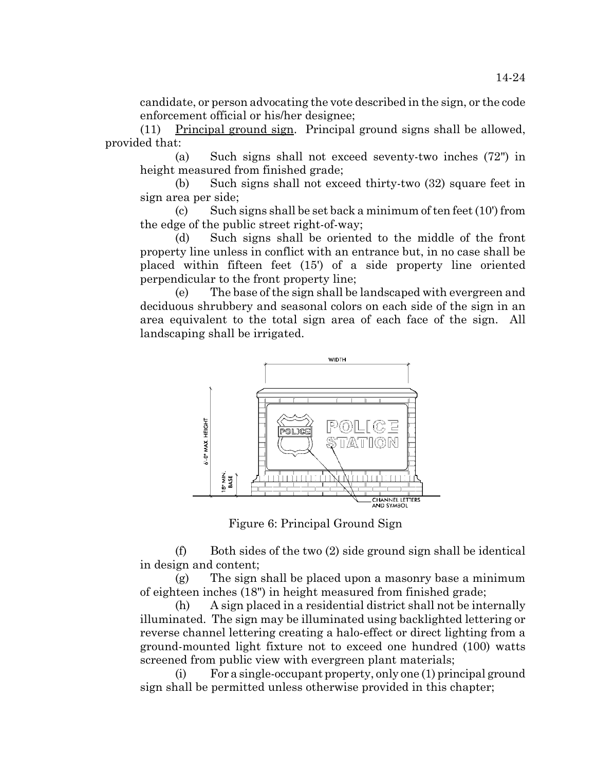candidate, or person advocating the vote described in the sign, or the code enforcement official or his/her designee;

(11) Principal ground sign. Principal ground signs shall be allowed, provided that:

(a) Such signs shall not exceed seventy-two inches (72") in height measured from finished grade;

(b) Such signs shall not exceed thirty-two (32) square feet in sign area per side;

(c) Such signs shall be set back a minimum of ten feet  $(10')$  from the edge of the public street right-of-way;

(d) Such signs shall be oriented to the middle of the front property line unless in conflict with an entrance but, in no case shall be placed within fifteen feet (15') of a side property line oriented perpendicular to the front property line;

(e) The base of the sign shall be landscaped with evergreen and deciduous shrubbery and seasonal colors on each side of the sign in an area equivalent to the total sign area of each face of the sign. All landscaping shall be irrigated.



Figure 6: Principal Ground Sign

 $(f)$  Both sides of the two  $(2)$  side ground sign shall be identical in design and content;

(g) The sign shall be placed upon a masonry base a minimum of eighteen inches (18") in height measured from finished grade;

(h) A sign placed in a residential district shall not be internally illuminated. The sign may be illuminated using backlighted lettering or reverse channel lettering creating a halo-effect or direct lighting from a ground-mounted light fixture not to exceed one hundred (100) watts screened from public view with evergreen plant materials;

(i) For a single-occupant property, only one (1) principal ground sign shall be permitted unless otherwise provided in this chapter;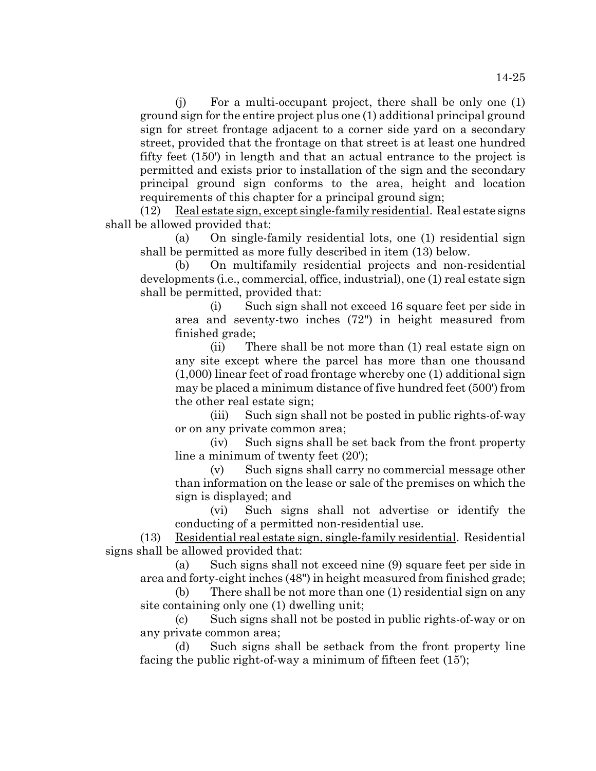(j) For a multi-occupant project, there shall be only one (1) ground sign for the entire project plus one (1) additional principal ground sign for street frontage adjacent to a corner side yard on a secondary street, provided that the frontage on that street is at least one hundred fifty feet (150') in length and that an actual entrance to the project is permitted and exists prior to installation of the sign and the secondary principal ground sign conforms to the area, height and location requirements of this chapter for a principal ground sign;

(12) Real estate sign, except single-family residential. Real estate signs shall be allowed provided that:

(a) On single-family residential lots, one (1) residential sign shall be permitted as more fully described in item (13) below.

(b) On multifamily residential projects and non-residential developments (i.e., commercial, office, industrial), one (1) real estate sign shall be permitted, provided that:

(i) Such sign shall not exceed 16 square feet per side in area and seventy-two inches (72") in height measured from finished grade;

(ii) There shall be not more than (1) real estate sign on any site except where the parcel has more than one thousand (1,000) linear feet of road frontage whereby one (1) additional sign may be placed a minimum distance of five hundred feet (500') from the other real estate sign;

(iii) Such sign shall not be posted in public rights-of-way or on any private common area;

(iv) Such signs shall be set back from the front property line a minimum of twenty feet (20');

(v) Such signs shall carry no commercial message other than information on the lease or sale of the premises on which the sign is displayed; and

(vi) Such signs shall not advertise or identify the conducting of a permitted non-residential use.

(13) Residential real estate sign, single-family residential. Residential signs shall be allowed provided that:

(a) Such signs shall not exceed nine (9) square feet per side in area and forty-eight inches (48") in height measured from finished grade;

(b) There shall be not more than one (1) residential sign on any site containing only one (1) dwelling unit;

(c) Such signs shall not be posted in public rights-of-way or on any private common area;

(d) Such signs shall be setback from the front property line facing the public right-of-way a minimum of fifteen feet (15');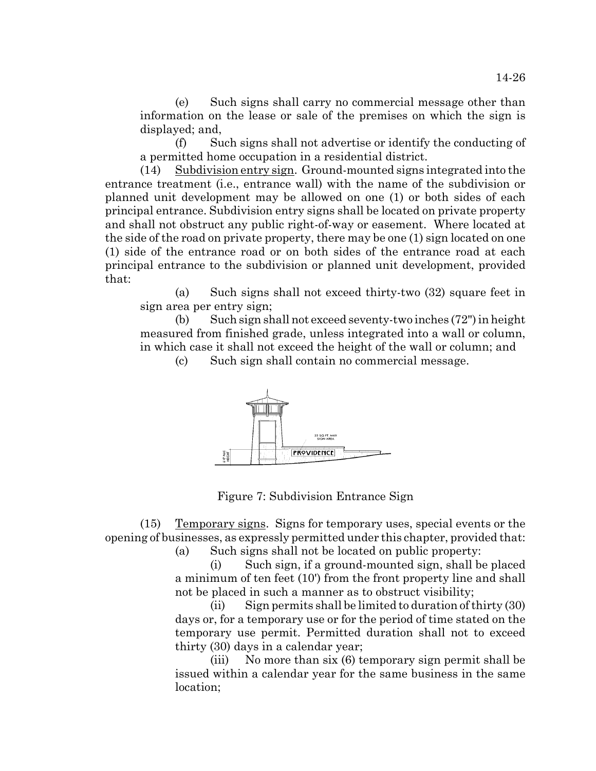(e) Such signs shall carry no commercial message other than information on the lease or sale of the premises on which the sign is displayed; and,

(f) Such signs shall not advertise or identify the conducting of a permitted home occupation in a residential district.

(14) Subdivision entry sign. Ground-mounted signs integrated into the entrance treatment (i.e., entrance wall) with the name of the subdivision or planned unit development may be allowed on one (1) or both sides of each principal entrance. Subdivision entry signs shall be located on private property and shall not obstruct any public right-of-way or easement. Where located at the side of the road on private property, there may be one (1) sign located on one (1) side of the entrance road or on both sides of the entrance road at each principal entrance to the subdivision or planned unit development, provided that:

(a) Such signs shall not exceed thirty-two (32) square feet in sign area per entry sign;

(b) Such sign shall not exceed seventy-two inches (72") in height measured from finished grade, unless integrated into a wall or column, in which case it shall not exceed the height of the wall or column; and

(c) Such sign shall contain no commercial message.



Figure 7: Subdivision Entrance Sign

(15) Temporary signs. Signs for temporary uses, special events or the opening of businesses, as expressly permitted under this chapter, provided that:

(a) Such signs shall not be located on public property:

(i) Such sign, if a ground-mounted sign, shall be placed a minimum of ten feet (10') from the front property line and shall not be placed in such a manner as to obstruct visibility;

(ii) Sign permits shall be limited to duration of thirty (30) days or, for a temporary use or for the period of time stated on the temporary use permit. Permitted duration shall not to exceed thirty (30) days in a calendar year;

(iii) No more than six (6) temporary sign permit shall be issued within a calendar year for the same business in the same location;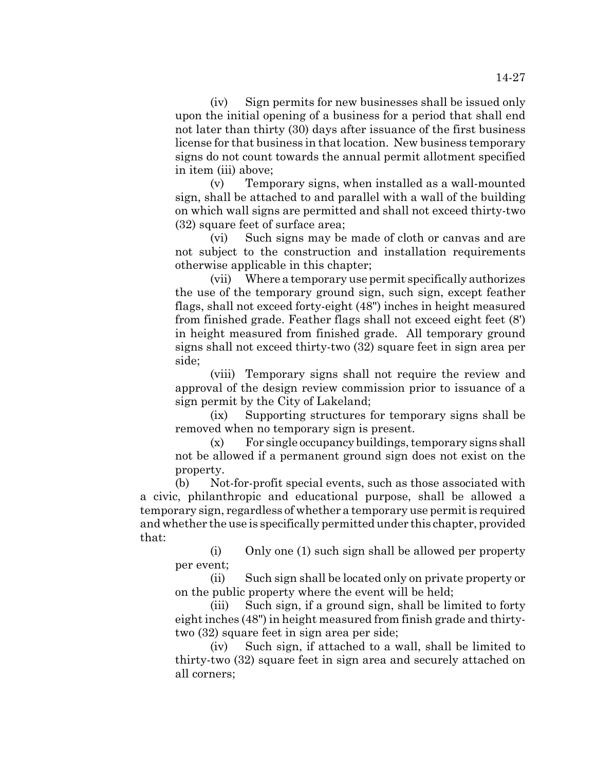(iv) Sign permits for new businesses shall be issued only upon the initial opening of a business for a period that shall end not later than thirty (30) days after issuance of the first business license for that business in that location. New business temporary signs do not count towards the annual permit allotment specified

in item (iii) above; (v) Temporary signs, when installed as a wall-mounted sign, shall be attached to and parallel with a wall of the building on which wall signs are permitted and shall not exceed thirty-two (32) square feet of surface area;

(vi) Such signs may be made of cloth or canvas and are not subject to the construction and installation requirements otherwise applicable in this chapter;

(vii) Where a temporary use permit specifically authorizes the use of the temporary ground sign, such sign, except feather flags, shall not exceed forty-eight (48") inches in height measured from finished grade. Feather flags shall not exceed eight feet (8') in height measured from finished grade. All temporary ground signs shall not exceed thirty-two (32) square feet in sign area per side;

(viii) Temporary signs shall not require the review and approval of the design review commission prior to issuance of a sign permit by the City of Lakeland;

(ix) Supporting structures for temporary signs shall be removed when no temporary sign is present.

(x) For single occupancy buildings, temporary signs shall not be allowed if a permanent ground sign does not exist on the property.

(b) Not-for-profit special events, such as those associated with a civic, philanthropic and educational purpose, shall be allowed a temporary sign, regardless of whether a temporary use permit is required and whether the use is specifically permitted under this chapter, provided that:

(i) Only one (1) such sign shall be allowed per property per event;

(ii) Such sign shall be located only on private property or on the public property where the event will be held;

(iii) Such sign, if a ground sign, shall be limited to forty eight inches (48") in height measured from finish grade and thirtytwo (32) square feet in sign area per side;

(iv) Such sign, if attached to a wall, shall be limited to thirty-two (32) square feet in sign area and securely attached on all corners;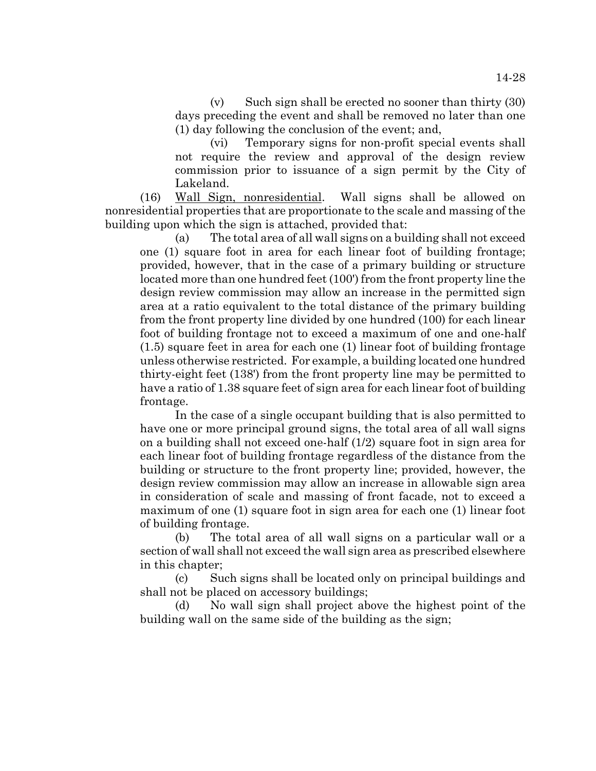$(v)$  Such sign shall be erected no sooner than thirty  $(30)$ days preceding the event and shall be removed no later than one (1) day following the conclusion of the event; and,

(vi) Temporary signs for non-profit special events shall not require the review and approval of the design review commission prior to issuance of a sign permit by the City of Lakeland.

(16) Wall Sign, nonresidential. Wall signs shall be allowed on nonresidential properties that are proportionate to the scale and massing of the building upon which the sign is attached, provided that:

(a) The total area of all wall signs on a building shall not exceed one (1) square foot in area for each linear foot of building frontage; provided, however, that in the case of a primary building or structure located more than one hundred feet (100') from the front property line the design review commission may allow an increase in the permitted sign area at a ratio equivalent to the total distance of the primary building from the front property line divided by one hundred (100) for each linear foot of building frontage not to exceed a maximum of one and one-half (1.5) square feet in area for each one (1) linear foot of building frontage unless otherwise restricted. For example, a building located one hundred thirty-eight feet (138') from the front property line may be permitted to have a ratio of 1.38 square feet of sign area for each linear foot of building frontage.

In the case of a single occupant building that is also permitted to have one or more principal ground signs, the total area of all wall signs on a building shall not exceed one-half (1/2) square foot in sign area for each linear foot of building frontage regardless of the distance from the building or structure to the front property line; provided, however, the design review commission may allow an increase in allowable sign area in consideration of scale and massing of front facade, not to exceed a maximum of one (1) square foot in sign area for each one (1) linear foot of building frontage.

(b) The total area of all wall signs on a particular wall or a section of wall shall not exceed the wall sign area as prescribed elsewhere in this chapter;

(c) Such signs shall be located only on principal buildings and shall not be placed on accessory buildings;

(d) No wall sign shall project above the highest point of the building wall on the same side of the building as the sign;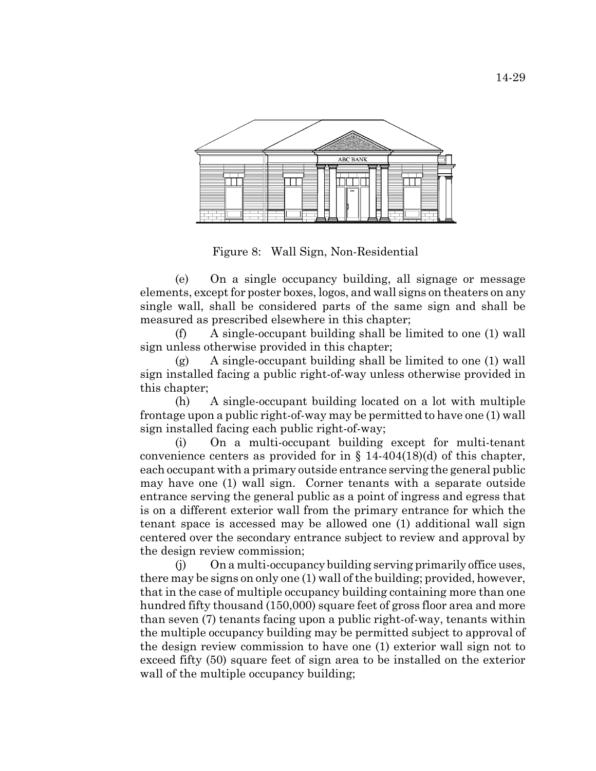

Figure 8: Wall Sign, Non-Residential

(e) On a single occupancy building, all signage or message elements, except for poster boxes, logos, and wall signs on theaters on any single wall, shall be considered parts of the same sign and shall be measured as prescribed elsewhere in this chapter;

(f) A single-occupant building shall be limited to one (1) wall sign unless otherwise provided in this chapter;

(g) A single-occupant building shall be limited to one (1) wall sign installed facing a public right-of-way unless otherwise provided in this chapter;

(h) A single-occupant building located on a lot with multiple frontage upon a public right-of-way may be permitted to have one (1) wall sign installed facing each public right-of-way;

(i) On a multi-occupant building except for multi-tenant convenience centers as provided for in  $\S$  14-404(18)(d) of this chapter, each occupant with a primary outside entrance serving the general public may have one (1) wall sign. Corner tenants with a separate outside entrance serving the general public as a point of ingress and egress that is on a different exterior wall from the primary entrance for which the tenant space is accessed may be allowed one (1) additional wall sign centered over the secondary entrance subject to review and approval by the design review commission;

(j) On a multi-occupancy building serving primarily office uses, there may be signs on only one (1) wall of the building; provided, however, that in the case of multiple occupancy building containing more than one hundred fifty thousand (150,000) square feet of gross floor area and more than seven (7) tenants facing upon a public right-of-way, tenants within the multiple occupancy building may be permitted subject to approval of the design review commission to have one (1) exterior wall sign not to exceed fifty (50) square feet of sign area to be installed on the exterior wall of the multiple occupancy building;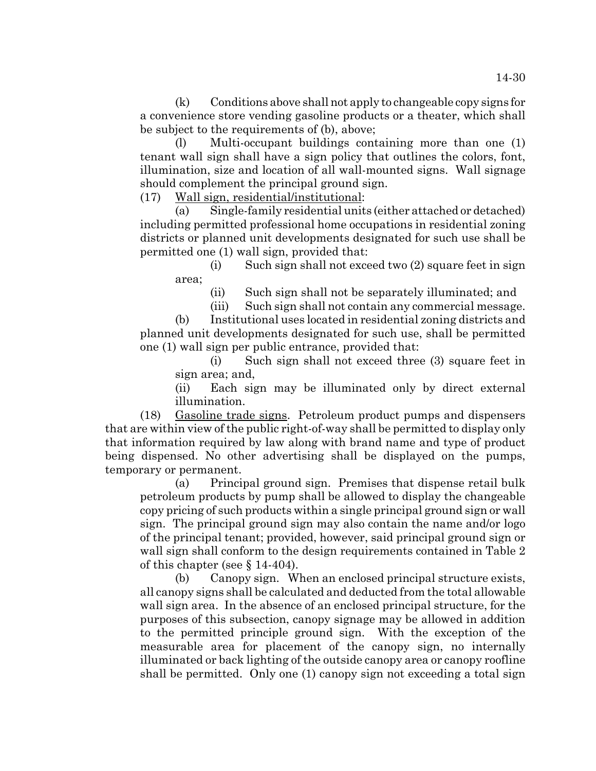(k) Conditions above shall not apply to changeable copy signs for a convenience store vending gasoline products or a theater, which shall be subject to the requirements of (b), above;

(l) Multi-occupant buildings containing more than one (1) tenant wall sign shall have a sign policy that outlines the colors, font, illumination, size and location of all wall-mounted signs. Wall signage should complement the principal ground sign.

(17) Wall sign, residential/institutional:

(a) Single-family residential units (either attached or detached) including permitted professional home occupations in residential zoning districts or planned unit developments designated for such use shall be permitted one (1) wall sign, provided that:

(i) Such sign shall not exceed two (2) square feet in sign area;

(ii) Such sign shall not be separately illuminated; and

(iii) Such sign shall not contain any commercial message.

(b) Institutional uses located in residential zoning districts and planned unit developments designated for such use, shall be permitted one (1) wall sign per public entrance, provided that:

(i) Such sign shall not exceed three (3) square feet in sign area; and,

(ii) Each sign may be illuminated only by direct external illumination.

(18) Gasoline trade signs. Petroleum product pumps and dispensers that are within view of the public right-of-way shall be permitted to display only that information required by law along with brand name and type of product being dispensed. No other advertising shall be displayed on the pumps, temporary or permanent.

(a) Principal ground sign. Premises that dispense retail bulk petroleum products by pump shall be allowed to display the changeable copy pricing of such products within a single principal ground sign or wall sign. The principal ground sign may also contain the name and/or logo of the principal tenant; provided, however, said principal ground sign or wall sign shall conform to the design requirements contained in Table 2 of this chapter (see § 14-404).

(b) Canopy sign. When an enclosed principal structure exists, all canopy signs shall be calculated and deducted from the total allowable wall sign area. In the absence of an enclosed principal structure, for the purposes of this subsection, canopy signage may be allowed in addition to the permitted principle ground sign. With the exception of the measurable area for placement of the canopy sign, no internally illuminated or back lighting of the outside canopy area or canopy roofline shall be permitted. Only one (1) canopy sign not exceeding a total sign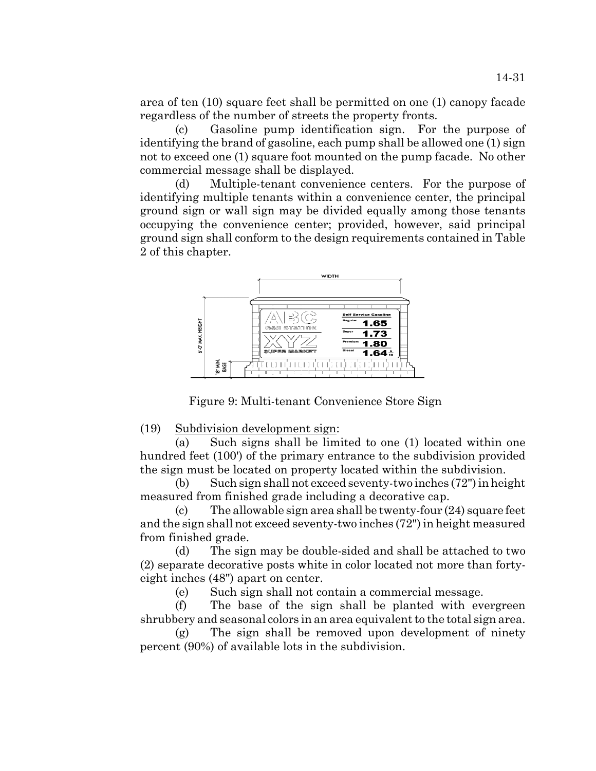area of ten (10) square feet shall be permitted on one (1) canopy facade regardless of the number of streets the property fronts.

(c) Gasoline pump identification sign. For the purpose of identifying the brand of gasoline, each pump shall be allowed one (1) sign not to exceed one (1) square foot mounted on the pump facade. No other commercial message shall be displayed.

(d) Multiple-tenant convenience centers. For the purpose of identifying multiple tenants within a convenience center, the principal ground sign or wall sign may be divided equally among those tenants occupying the convenience center; provided, however, said principal ground sign shall conform to the design requirements contained in Table 2 of this chapter.



Figure 9: Multi-tenant Convenience Store Sign

(19) Subdivision development sign:

(a) Such signs shall be limited to one (1) located within one hundred feet (100') of the primary entrance to the subdivision provided the sign must be located on property located within the subdivision.

(b) Such sign shall not exceed seventy-two inches (72") in height measured from finished grade including a decorative cap.

(c) The allowable sign area shall be twenty-four (24) square feet and the sign shall not exceed seventy-two inches (72") in height measured from finished grade.

(d) The sign may be double-sided and shall be attached to two (2) separate decorative posts white in color located not more than fortyeight inches (48") apart on center.

(e) Such sign shall not contain a commercial message.

(f) The base of the sign shall be planted with evergreen shrubbery and seasonal colors in an area equivalent to the total sign area.

(g) The sign shall be removed upon development of ninety percent (90%) of available lots in the subdivision.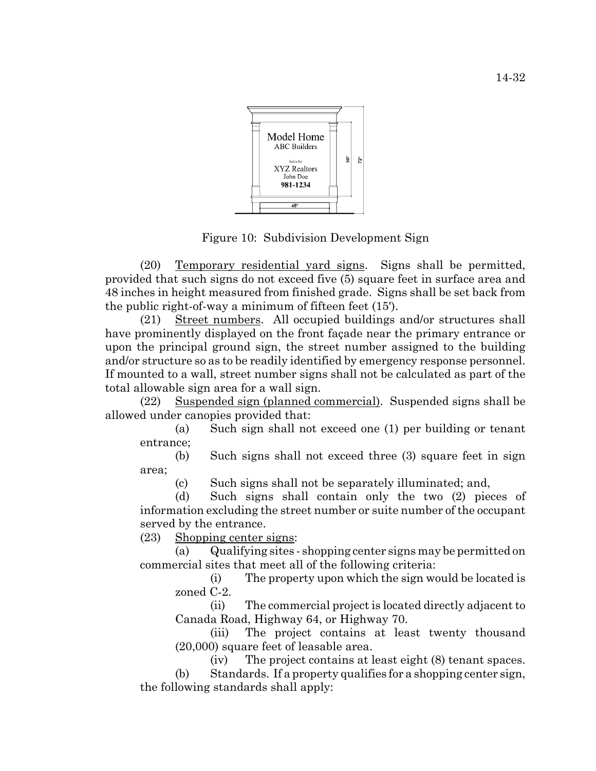

Figure 10: Subdivision Development Sign

(20) Temporary residential yard signs. Signs shall be permitted, provided that such signs do not exceed five (5) square feet in surface area and 48 inches in height measured from finished grade. Signs shall be set back from the public right-of-way a minimum of fifteen feet (15').

(21) Street numbers. All occupied buildings and/or structures shall have prominently displayed on the front façade near the primary entrance or upon the principal ground sign, the street number assigned to the building and/or structure so as to be readily identified by emergency response personnel. If mounted to a wall, street number signs shall not be calculated as part of the total allowable sign area for a wall sign.

(22) Suspended sign (planned commercial). Suspended signs shall be allowed under canopies provided that:

(a) Such sign shall not exceed one (1) per building or tenant entrance;

(b) Such signs shall not exceed three (3) square feet in sign area;

(c) Such signs shall not be separately illuminated; and,

(d) Such signs shall contain only the two (2) pieces of information excluding the street number or suite number of the occupant served by the entrance.

(23) Shopping center signs:

(a) Qualifying sites - shopping center signs may be permitted on commercial sites that meet all of the following criteria:

(i) The property upon which the sign would be located is zoned C-2.

(ii) The commercial project is located directly adjacent to Canada Road, Highway 64, or Highway 70.

(iii) The project contains at least twenty thousand (20,000) square feet of leasable area.

(iv) The project contains at least eight (8) tenant spaces. (b) Standards. If a property qualifies for a shopping center sign, the following standards shall apply: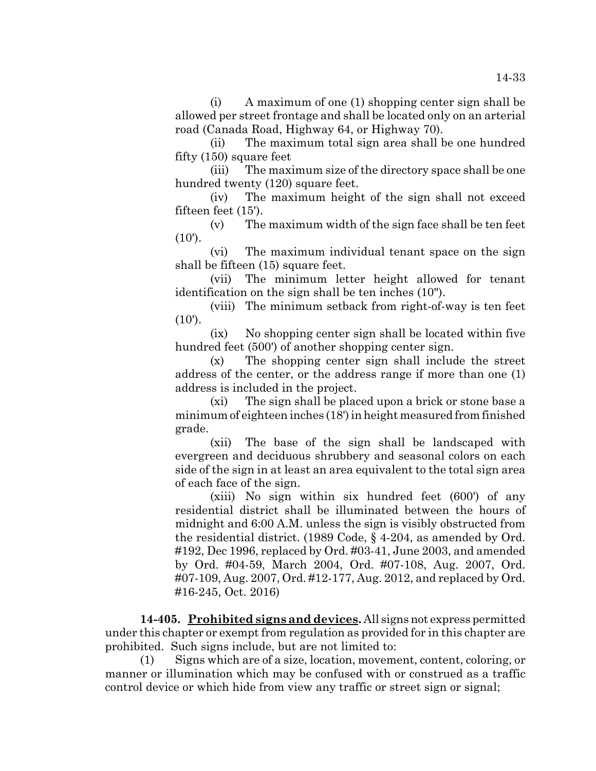(i) A maximum of one (1) shopping center sign shall be allowed per street frontage and shall be located only on an arterial road (Canada Road, Highway 64, or Highway 70).

(ii) The maximum total sign area shall be one hundred fifty (150) square feet

(iii) The maximum size of the directory space shall be one hundred twenty (120) square feet.

(iv) The maximum height of the sign shall not exceed fifteen feet (15').

(v) The maximum width of the sign face shall be ten feet  $(10')$ .

(vi) The maximum individual tenant space on the sign shall be fifteen (15) square feet.

(vii) The minimum letter height allowed for tenant identification on the sign shall be ten inches (10").

(viii) The minimum setback from right-of-way is ten feet  $(10')$ .

(ix) No shopping center sign shall be located within five hundred feet (500') of another shopping center sign.

(x) The shopping center sign shall include the street address of the center, or the address range if more than one (1) address is included in the project.

(xi) The sign shall be placed upon a brick or stone base a minimum of eighteen inches (18') in height measured from finished grade.

(xii) The base of the sign shall be landscaped with evergreen and deciduous shrubbery and seasonal colors on each side of the sign in at least an area equivalent to the total sign area of each face of the sign.

(xiii) No sign within six hundred feet (600') of any residential district shall be illuminated between the hours of midnight and 6:00 A.M. unless the sign is visibly obstructed from the residential district. (1989 Code, § 4-204, as amended by Ord. #192, Dec 1996, replaced by Ord. #03-41, June 2003, and amended by Ord. #04-59, March 2004, Ord. #07-108, Aug. 2007, Ord. #07-109, Aug. 2007, Ord. #12-177, Aug. 2012, and replaced by Ord. #16-245, Oct. 2016)

**14-405. Prohibited signs and devices.** All signs not express permitted under this chapter or exempt from regulation as provided for in this chapter are prohibited. Such signs include, but are not limited to:

(1) Signs which are of a size, location, movement, content, coloring, or manner or illumination which may be confused with or construed as a traffic control device or which hide from view any traffic or street sign or signal;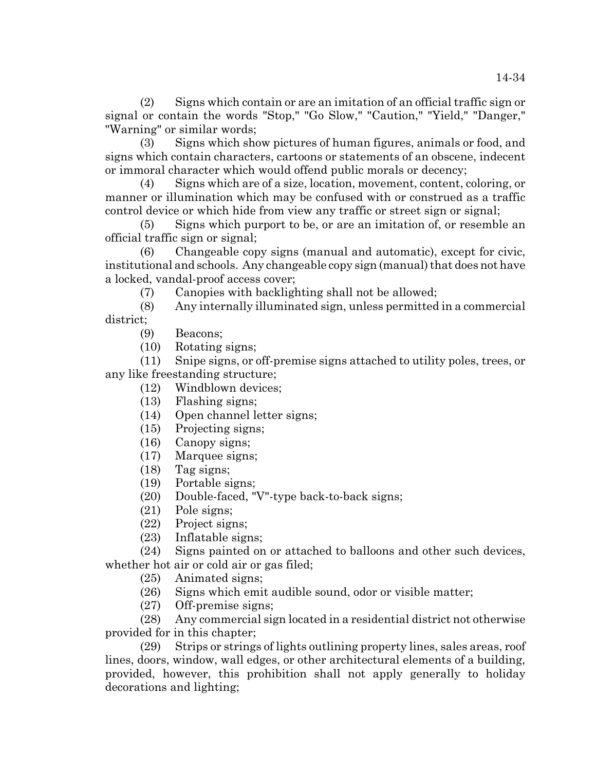(2) Signs which contain or are an imitation of an official traffic sign or signal or contain the words "Stop," "Go Slow," "Caution," "Yield," "Danger," "Warning" or similar words;

(3) Signs which show pictures of human figures, animals or food, and signs which contain characters, cartoons or statements of an obscene, indecent or immoral character which would offend public morals or decency;

(4) Signs which are of a size, location, movement, content, coloring, or manner or illumination which may be confused with or construed as a traffic control device or which hide from view any traffic or street sign or signal;

(5) Signs which purport to be, or are an imitation of, or resemble an official traffic sign or signal;

(6) Changeable copy signs (manual and automatic), except for civic, institutional and schools. Any changeable copy sign (manual) that does not have a locked, vandal-proof access cover;

(7) Canopies with backlighting shall not be allowed;

(8) Any internally illuminated sign, unless permitted in a commercial district;

(9) Beacons;

(10) Rotating signs;

(11) Snipe signs, or off-premise signs attached to utility poles, trees, or any like freestanding structure;

- (12) Windblown devices;
- (13) Flashing signs;
- (14) Open channel letter signs;
- (15) Projecting signs;
- (16) Canopy signs;
- (17) Marquee signs;
- (18) Tag signs;
- (19) Portable signs;
- (20) Double-faced, "V"-type back-to-back signs;
- (21) Pole signs;
- (22) Project signs;
- (23) Inflatable signs;

(24) Signs painted on or attached to balloons and other such devices, whether hot air or cold air or gas filed;

(25) Animated signs;

- (26) Signs which emit audible sound, odor or visible matter;
- (27) Off-premise signs;

(28) Any commercial sign located in a residential district not otherwise provided for in this chapter;

(29) Strips or strings of lights outlining property lines, sales areas, roof lines, doors, window, wall edges, or other architectural elements of a building, provided, however, this prohibition shall not apply generally to holiday decorations and lighting;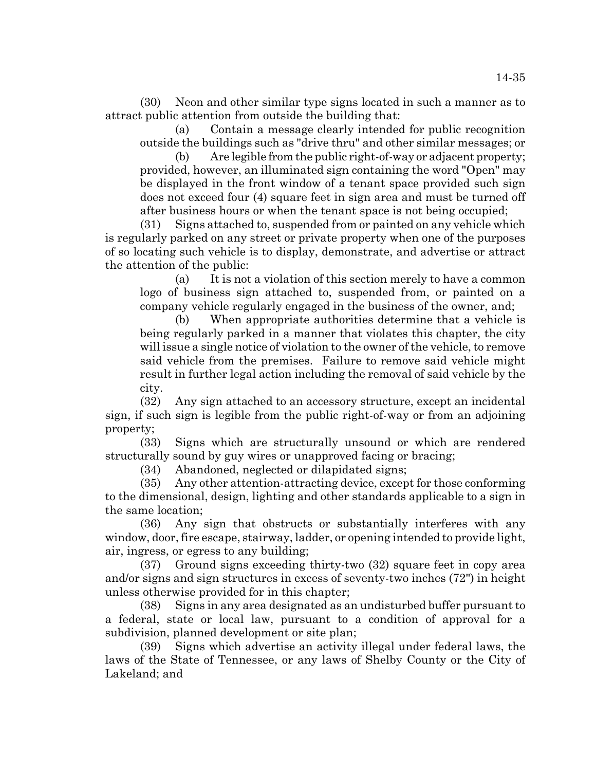(30) Neon and other similar type signs located in such a manner as to attract public attention from outside the building that:

(a) Contain a message clearly intended for public recognition outside the buildings such as "drive thru" and other similar messages; or

Are legible from the public right-of-way or adjacent property; provided, however, an illuminated sign containing the word "Open" may be displayed in the front window of a tenant space provided such sign does not exceed four (4) square feet in sign area and must be turned off after business hours or when the tenant space is not being occupied;

(31) Signs attached to, suspended from or painted on any vehicle which is regularly parked on any street or private property when one of the purposes of so locating such vehicle is to display, demonstrate, and advertise or attract the attention of the public:

(a) It is not a violation of this section merely to have a common logo of business sign attached to, suspended from, or painted on a company vehicle regularly engaged in the business of the owner, and;

(b) When appropriate authorities determine that a vehicle is being regularly parked in a manner that violates this chapter, the city will issue a single notice of violation to the owner of the vehicle, to remove said vehicle from the premises. Failure to remove said vehicle might result in further legal action including the removal of said vehicle by the city.

(32) Any sign attached to an accessory structure, except an incidental sign, if such sign is legible from the public right-of-way or from an adjoining property;

(33) Signs which are structurally unsound or which are rendered structurally sound by guy wires or unapproved facing or bracing;

(34) Abandoned, neglected or dilapidated signs;

(35) Any other attention-attracting device, except for those conforming to the dimensional, design, lighting and other standards applicable to a sign in the same location;

(36) Any sign that obstructs or substantially interferes with any window, door, fire escape, stairway, ladder, or opening intended to provide light, air, ingress, or egress to any building;

(37) Ground signs exceeding thirty-two (32) square feet in copy area and/or signs and sign structures in excess of seventy-two inches (72") in height unless otherwise provided for in this chapter;

(38) Signs in any area designated as an undisturbed buffer pursuant to a federal, state or local law, pursuant to a condition of approval for a subdivision, planned development or site plan;

(39) Signs which advertise an activity illegal under federal laws, the laws of the State of Tennessee, or any laws of Shelby County or the City of Lakeland; and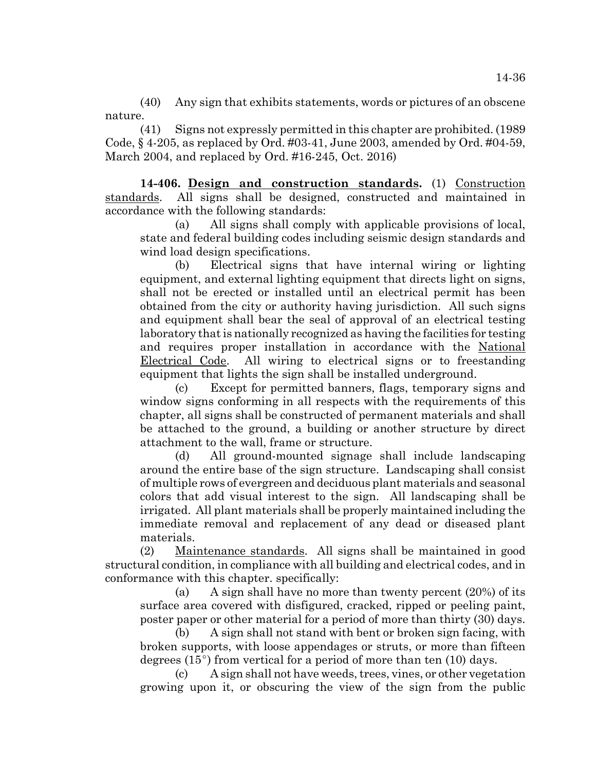(40) Any sign that exhibits statements, words or pictures of an obscene nature.

(41) Signs not expressly permitted in this chapter are prohibited. (1989 Code, § 4-205, as replaced by Ord. #03-41, June 2003, amended by Ord. #04-59, March 2004, and replaced by Ord. #16-245, Oct. 2016)

**14-406. Design and construction standards.** (1) Construction standards. All signs shall be designed, constructed and maintained in accordance with the following standards:

(a) All signs shall comply with applicable provisions of local, state and federal building codes including seismic design standards and wind load design specifications.

(b) Electrical signs that have internal wiring or lighting equipment, and external lighting equipment that directs light on signs, shall not be erected or installed until an electrical permit has been obtained from the city or authority having jurisdiction. All such signs and equipment shall bear the seal of approval of an electrical testing laboratory that is nationally recognized as having the facilities for testing and requires proper installation in accordance with the National Electrical Code. All wiring to electrical signs or to freestanding equipment that lights the sign shall be installed underground.

(c) Except for permitted banners, flags, temporary signs and window signs conforming in all respects with the requirements of this chapter, all signs shall be constructed of permanent materials and shall be attached to the ground, a building or another structure by direct attachment to the wall, frame or structure.

(d) All ground-mounted signage shall include landscaping around the entire base of the sign structure. Landscaping shall consist of multiple rows of evergreen and deciduous plant materials and seasonal colors that add visual interest to the sign. All landscaping shall be irrigated. All plant materials shall be properly maintained including the immediate removal and replacement of any dead or diseased plant materials.

(2) Maintenance standards. All signs shall be maintained in good structural condition, in compliance with all building and electrical codes, and in conformance with this chapter. specifically:

(a) A sign shall have no more than twenty percent  $(20\%)$  of its surface area covered with disfigured, cracked, ripped or peeling paint, poster paper or other material for a period of more than thirty (30) days.

(b) A sign shall not stand with bent or broken sign facing, with broken supports, with loose appendages or struts, or more than fifteen degrees  $(15^{\circ})$  from vertical for a period of more than ten (10) days.

(c) A sign shall not have weeds, trees, vines, or other vegetation growing upon it, or obscuring the view of the sign from the public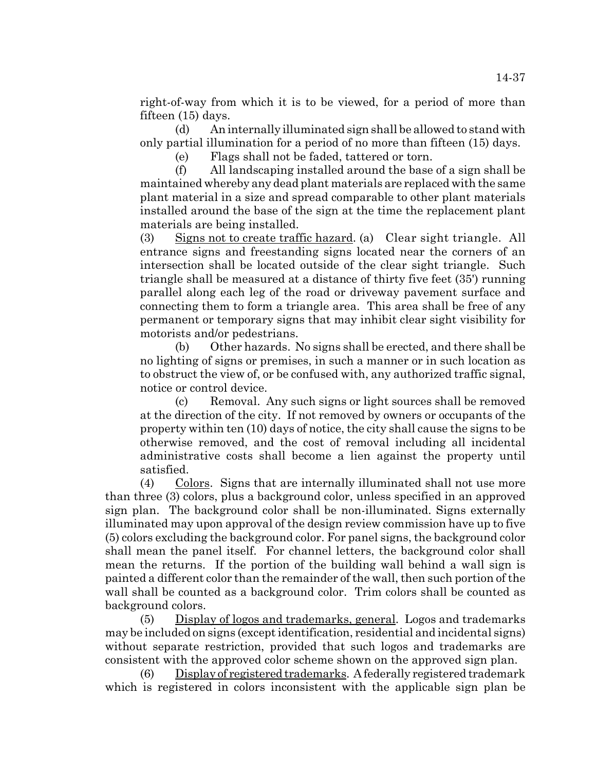right-of-way from which it is to be viewed, for a period of more than fifteen (15) days.

(d) An internally illuminated sign shall be allowed to stand with only partial illumination for a period of no more than fifteen (15) days.

(e) Flags shall not be faded, tattered or torn.

(f) All landscaping installed around the base of a sign shall be maintained whereby any dead plant materials are replaced with the same plant material in a size and spread comparable to other plant materials installed around the base of the sign at the time the replacement plant materials are being installed.

(3) Signs not to create traffic hazard. (a) Clear sight triangle. All entrance signs and freestanding signs located near the corners of an intersection shall be located outside of the clear sight triangle. Such triangle shall be measured at a distance of thirty five feet (35') running parallel along each leg of the road or driveway pavement surface and connecting them to form a triangle area. This area shall be free of any permanent or temporary signs that may inhibit clear sight visibility for motorists and/or pedestrians.

(b) Other hazards. No signs shall be erected, and there shall be no lighting of signs or premises, in such a manner or in such location as to obstruct the view of, or be confused with, any authorized traffic signal, notice or control device.

(c) Removal. Any such signs or light sources shall be removed at the direction of the city. If not removed by owners or occupants of the property within ten (10) days of notice, the city shall cause the signs to be otherwise removed, and the cost of removal including all incidental administrative costs shall become a lien against the property until satisfied.

(4) Colors. Signs that are internally illuminated shall not use more than three (3) colors, plus a background color, unless specified in an approved sign plan. The background color shall be non-illuminated. Signs externally illuminated may upon approval of the design review commission have up to five (5) colors excluding the background color. For panel signs, the background color shall mean the panel itself. For channel letters, the background color shall mean the returns. If the portion of the building wall behind a wall sign is painted a different color than the remainder of the wall, then such portion of the wall shall be counted as a background color. Trim colors shall be counted as background colors.

(5) Display of logos and trademarks, general. Logos and trademarks may be included on signs (except identification, residential and incidental signs) without separate restriction, provided that such logos and trademarks are consistent with the approved color scheme shown on the approved sign plan.

(6) Display of registered trademarks. A federally registered trademark which is registered in colors inconsistent with the applicable sign plan be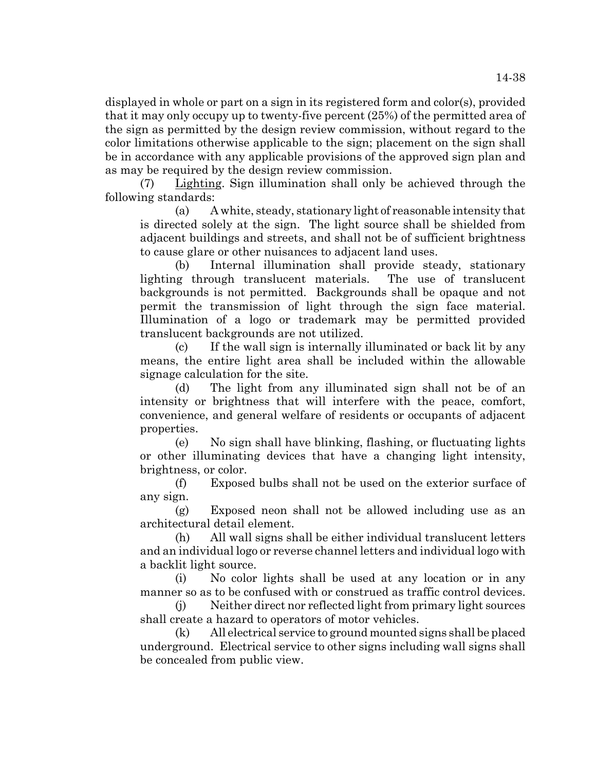displayed in whole or part on a sign in its registered form and color(s), provided that it may only occupy up to twenty-five percent (25%) of the permitted area of the sign as permitted by the design review commission, without regard to the color limitations otherwise applicable to the sign; placement on the sign shall be in accordance with any applicable provisions of the approved sign plan and as may be required by the design review commission.

(7) Lighting. Sign illumination shall only be achieved through the following standards:

(a) A white, steady, stationary light of reasonable intensity that is directed solely at the sign. The light source shall be shielded from adjacent buildings and streets, and shall not be of sufficient brightness to cause glare or other nuisances to adjacent land uses.

(b) Internal illumination shall provide steady, stationary lighting through translucent materials. The use of translucent backgrounds is not permitted. Backgrounds shall be opaque and not permit the transmission of light through the sign face material. Illumination of a logo or trademark may be permitted provided translucent backgrounds are not utilized.

(c) If the wall sign is internally illuminated or back lit by any means, the entire light area shall be included within the allowable signage calculation for the site.

(d) The light from any illuminated sign shall not be of an intensity or brightness that will interfere with the peace, comfort, convenience, and general welfare of residents or occupants of adjacent properties.

(e) No sign shall have blinking, flashing, or fluctuating lights or other illuminating devices that have a changing light intensity, brightness, or color.

(f) Exposed bulbs shall not be used on the exterior surface of any sign.

(g) Exposed neon shall not be allowed including use as an architectural detail element.

(h) All wall signs shall be either individual translucent letters and an individual logo or reverse channel letters and individual logo with a backlit light source.

(i) No color lights shall be used at any location or in any manner so as to be confused with or construed as traffic control devices.

(j) Neither direct nor reflected light from primary light sources shall create a hazard to operators of motor vehicles.

(k) All electrical service to ground mounted signs shall be placed underground. Electrical service to other signs including wall signs shall be concealed from public view.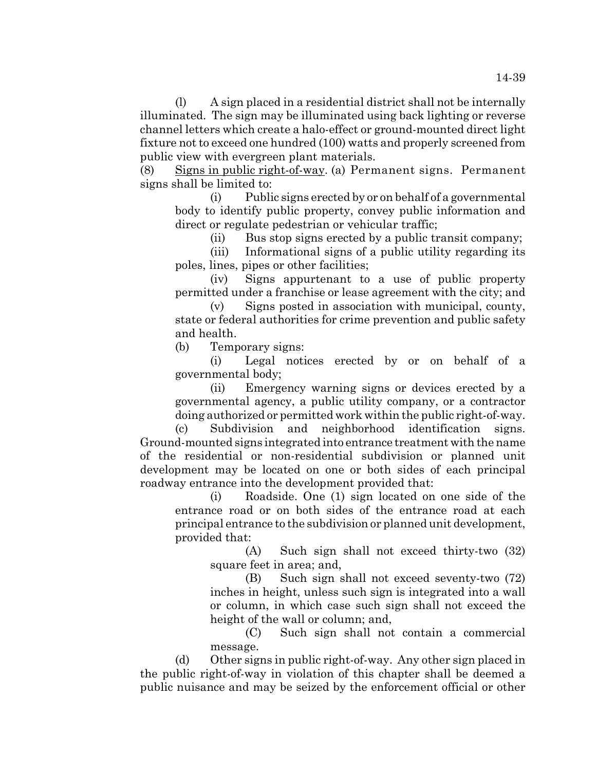(l) A sign placed in a residential district shall not be internally illuminated. The sign may be illuminated using back lighting or reverse channel letters which create a halo-effect or ground-mounted direct light fixture not to exceed one hundred (100) watts and properly screened from public view with evergreen plant materials.

(8) Signs in public right-of-way. (a) Permanent signs. Permanent signs shall be limited to:

(i) Public signs erected by or on behalf of a governmental body to identify public property, convey public information and direct or regulate pedestrian or vehicular traffic;

(ii) Bus stop signs erected by a public transit company;

(iii) Informational signs of a public utility regarding its poles, lines, pipes or other facilities;

(iv) Signs appurtenant to a use of public property permitted under a franchise or lease agreement with the city; and

(v) Signs posted in association with municipal, county, state or federal authorities for crime prevention and public safety and health.

(b) Temporary signs:

(i) Legal notices erected by or on behalf of a governmental body;

(ii) Emergency warning signs or devices erected by a governmental agency, a public utility company, or a contractor doing authorized or permitted work within the public right-of-way.

(c) Subdivision and neighborhood identification signs. Ground-mounted signs integrated into entrance treatment with the name of the residential or non-residential subdivision or planned unit development may be located on one or both sides of each principal roadway entrance into the development provided that:

(i) Roadside. One (1) sign located on one side of the entrance road or on both sides of the entrance road at each principal entrance to the subdivision or planned unit development, provided that:

(A) Such sign shall not exceed thirty-two (32) square feet in area; and,

(B) Such sign shall not exceed seventy-two (72) inches in height, unless such sign is integrated into a wall or column, in which case such sign shall not exceed the height of the wall or column; and,

(C) Such sign shall not contain a commercial message.

(d) Other signs in public right-of-way. Any other sign placed in the public right-of-way in violation of this chapter shall be deemed a public nuisance and may be seized by the enforcement official or other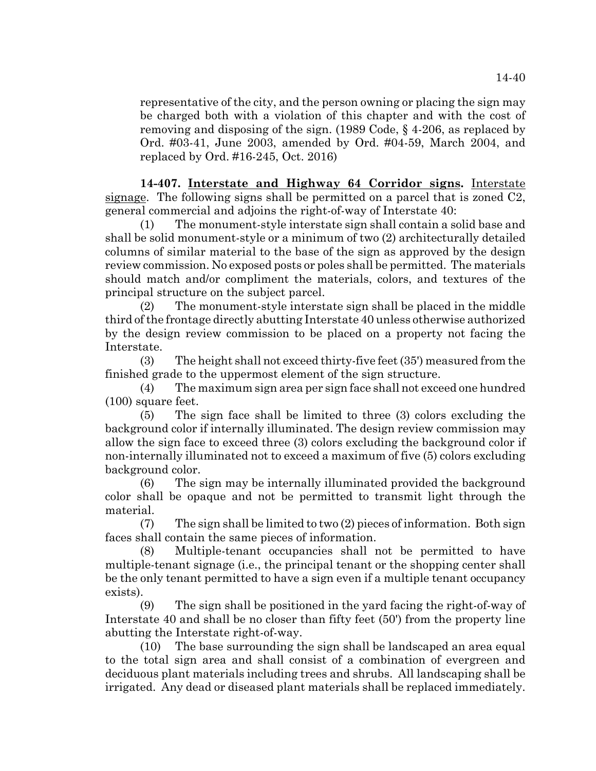representative of the city, and the person owning or placing the sign may be charged both with a violation of this chapter and with the cost of removing and disposing of the sign. (1989 Code, § 4-206, as replaced by Ord. #03-41, June 2003, amended by Ord. #04-59, March 2004, and replaced by Ord. #16-245, Oct. 2016)

**14-407. Interstate and Highway 64 Corridor signs.** Interstate signage. The following signs shall be permitted on a parcel that is zoned C2, general commercial and adjoins the right-of-way of Interstate 40:

(1) The monument-style interstate sign shall contain a solid base and shall be solid monument-style or a minimum of two (2) architecturally detailed columns of similar material to the base of the sign as approved by the design review commission. No exposed posts or poles shall be permitted. The materials should match and/or compliment the materials, colors, and textures of the principal structure on the subject parcel.

(2) The monument-style interstate sign shall be placed in the middle third of the frontage directly abutting Interstate 40 unless otherwise authorized by the design review commission to be placed on a property not facing the Interstate.

(3) The height shall not exceed thirty-five feet (35') measured from the finished grade to the uppermost element of the sign structure.

(4) The maximum sign area per sign face shall not exceed one hundred (100) square feet.

(5) The sign face shall be limited to three (3) colors excluding the background color if internally illuminated. The design review commission may allow the sign face to exceed three (3) colors excluding the background color if non-internally illuminated not to exceed a maximum of five (5) colors excluding background color.

(6) The sign may be internally illuminated provided the background color shall be opaque and not be permitted to transmit light through the material.

 $(7)$  The sign shall be limited to two  $(2)$  pieces of information. Both sign faces shall contain the same pieces of information.

(8) Multiple-tenant occupancies shall not be permitted to have multiple-tenant signage (i.e., the principal tenant or the shopping center shall be the only tenant permitted to have a sign even if a multiple tenant occupancy exists).

(9) The sign shall be positioned in the yard facing the right-of-way of Interstate 40 and shall be no closer than fifty feet (50') from the property line abutting the Interstate right-of-way.

(10) The base surrounding the sign shall be landscaped an area equal to the total sign area and shall consist of a combination of evergreen and deciduous plant materials including trees and shrubs. All landscaping shall be irrigated. Any dead or diseased plant materials shall be replaced immediately.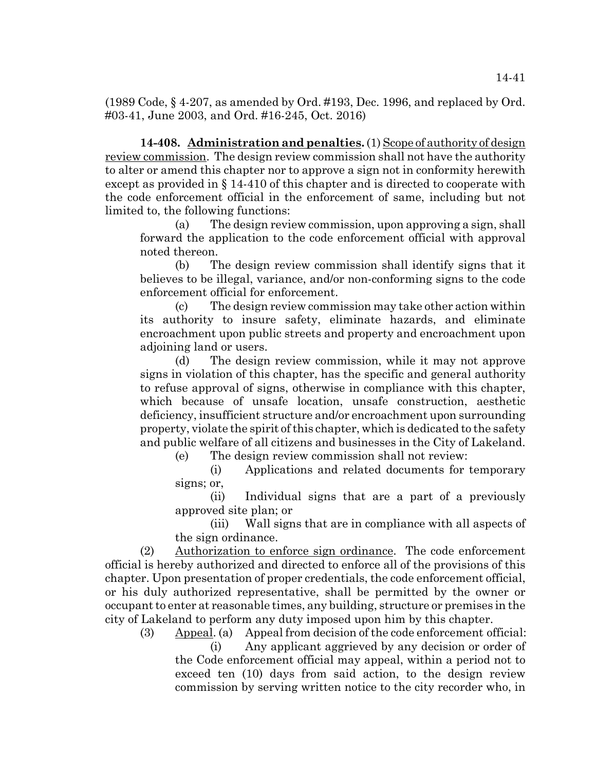(1989 Code, § 4-207, as amended by Ord. #193, Dec. 1996, and replaced by Ord. #03-41, June 2003, and Ord. #16-245, Oct. 2016)

**14-408. Administration and penalties.** (1) Scope of authority of design review commission. The design review commission shall not have the authority to alter or amend this chapter nor to approve a sign not in conformity herewith except as provided in § 14-410 of this chapter and is directed to cooperate with the code enforcement official in the enforcement of same, including but not limited to, the following functions:

(a) The design review commission, upon approving a sign, shall forward the application to the code enforcement official with approval noted thereon.

(b) The design review commission shall identify signs that it believes to be illegal, variance, and/or non-conforming signs to the code enforcement official for enforcement.

(c) The design review commission may take other action within its authority to insure safety, eliminate hazards, and eliminate encroachment upon public streets and property and encroachment upon adjoining land or users.

(d) The design review commission, while it may not approve signs in violation of this chapter, has the specific and general authority to refuse approval of signs, otherwise in compliance with this chapter, which because of unsafe location, unsafe construction, aesthetic deficiency, insufficient structure and/or encroachment upon surrounding property, violate the spirit of this chapter, which is dedicated to the safety and public welfare of all citizens and businesses in the City of Lakeland.

(e) The design review commission shall not review:

(i) Applications and related documents for temporary signs; or,

(ii) Individual signs that are a part of a previously approved site plan; or

(iii) Wall signs that are in compliance with all aspects of the sign ordinance.

(2) Authorization to enforce sign ordinance. The code enforcement official is hereby authorized and directed to enforce all of the provisions of this chapter. Upon presentation of proper credentials, the code enforcement official, or his duly authorized representative, shall be permitted by the owner or occupant to enter at reasonable times, any building, structure or premises in the city of Lakeland to perform any duty imposed upon him by this chapter.

(3) Appeal. (a) Appeal from decision of the code enforcement official:

(i) Any applicant aggrieved by any decision or order of the Code enforcement official may appeal, within a period not to exceed ten (10) days from said action, to the design review commission by serving written notice to the city recorder who, in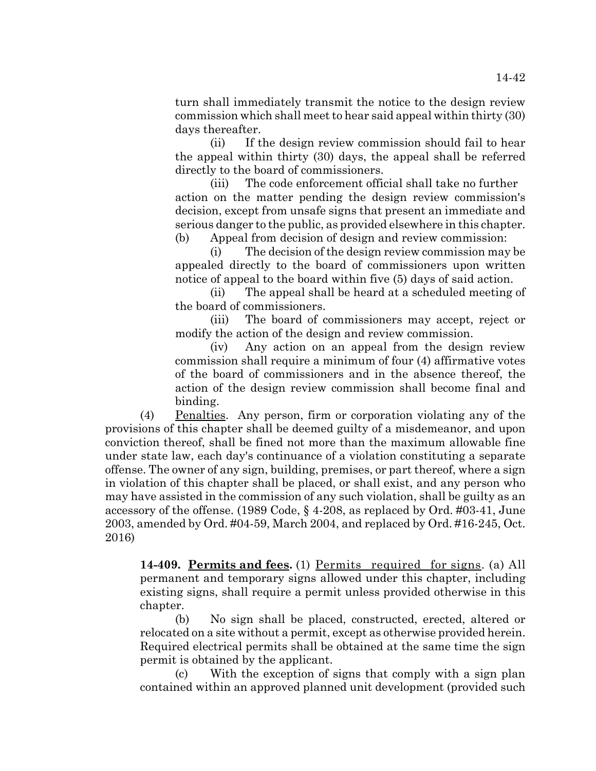turn shall immediately transmit the notice to the design review commission which shall meet to hear said appeal within thirty (30) days thereafter.

(ii) If the design review commission should fail to hear the appeal within thirty (30) days, the appeal shall be referred directly to the board of commissioners.

(iii) The code enforcement official shall take no further action on the matter pending the design review commission's decision, except from unsafe signs that present an immediate and serious danger to the public, as provided elsewhere in this chapter. (b) Appeal from decision of design and review commission:

(i) The decision of the design review commission may be appealed directly to the board of commissioners upon written notice of appeal to the board within five (5) days of said action.

(ii) The appeal shall be heard at a scheduled meeting of the board of commissioners.

(iii) The board of commissioners may accept, reject or modify the action of the design and review commission.

(iv) Any action on an appeal from the design review commission shall require a minimum of four (4) affirmative votes of the board of commissioners and in the absence thereof, the action of the design review commission shall become final and binding.

(4) Penalties. Any person, firm or corporation violating any of the provisions of this chapter shall be deemed guilty of a misdemeanor, and upon conviction thereof, shall be fined not more than the maximum allowable fine under state law, each day's continuance of a violation constituting a separate offense. The owner of any sign, building, premises, or part thereof, where a sign in violation of this chapter shall be placed, or shall exist, and any person who may have assisted in the commission of any such violation, shall be guilty as an accessory of the offense. (1989 Code, § 4-208, as replaced by Ord. #03-41, June 2003, amended by Ord. #04-59, March 2004, and replaced by Ord. #16-245, Oct. 2016)

**14-409. Permits and fees.** (1) Permits required for signs. (a) All permanent and temporary signs allowed under this chapter, including existing signs, shall require a permit unless provided otherwise in this chapter.

(b) No sign shall be placed, constructed, erected, altered or relocated on a site without a permit, except as otherwise provided herein. Required electrical permits shall be obtained at the same time the sign permit is obtained by the applicant.

(c) With the exception of signs that comply with a sign plan contained within an approved planned unit development (provided such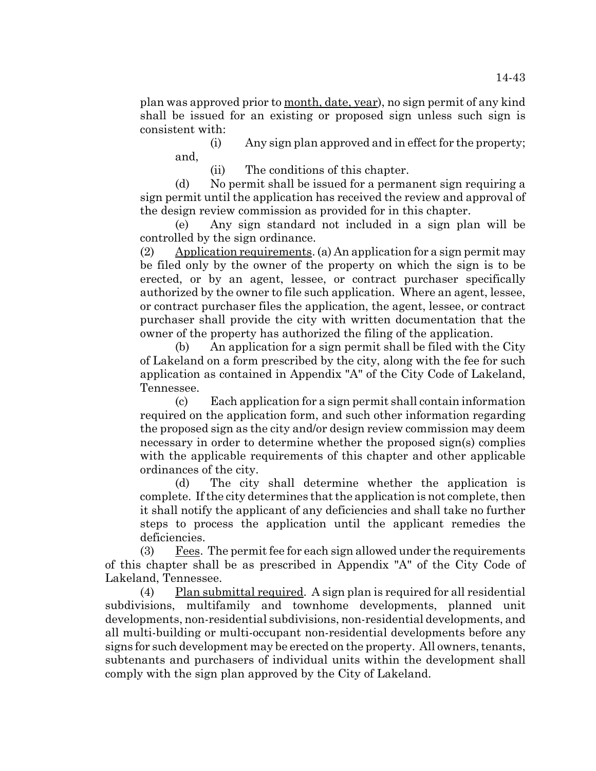plan was approved prior to month, date, year), no sign permit of any kind shall be issued for an existing or proposed sign unless such sign is consistent with:

(i) Any sign plan approved and in effect for the property; and,

(ii) The conditions of this chapter.

(d) No permit shall be issued for a permanent sign requiring a sign permit until the application has received the review and approval of the design review commission as provided for in this chapter.

(e) Any sign standard not included in a sign plan will be controlled by the sign ordinance.

(2) Application requirements. (a) An application for a sign permit may be filed only by the owner of the property on which the sign is to be erected, or by an agent, lessee, or contract purchaser specifically authorized by the owner to file such application. Where an agent, lessee, or contract purchaser files the application, the agent, lessee, or contract purchaser shall provide the city with written documentation that the owner of the property has authorized the filing of the application.

(b) An application for a sign permit shall be filed with the City of Lakeland on a form prescribed by the city, along with the fee for such application as contained in Appendix "A" of the City Code of Lakeland, Tennessee.

(c) Each application for a sign permit shall contain information required on the application form, and such other information regarding the proposed sign as the city and/or design review commission may deem necessary in order to determine whether the proposed sign(s) complies with the applicable requirements of this chapter and other applicable ordinances of the city.

(d) The city shall determine whether the application is complete. If the city determines that the application is not complete, then it shall notify the applicant of any deficiencies and shall take no further steps to process the application until the applicant remedies the deficiencies.

(3)  $Fees$ . The permit fee for each sign allowed under the requirements of this chapter shall be as prescribed in Appendix "A" of the City Code of Lakeland, Tennessee.

(4) Plan submittal required. A sign plan is required for all residential subdivisions, multifamily and townhome developments, planned unit developments, non-residential subdivisions, non-residential developments, and all multi-building or multi-occupant non-residential developments before any signs for such development may be erected on the property. All owners, tenants, subtenants and purchasers of individual units within the development shall comply with the sign plan approved by the City of Lakeland.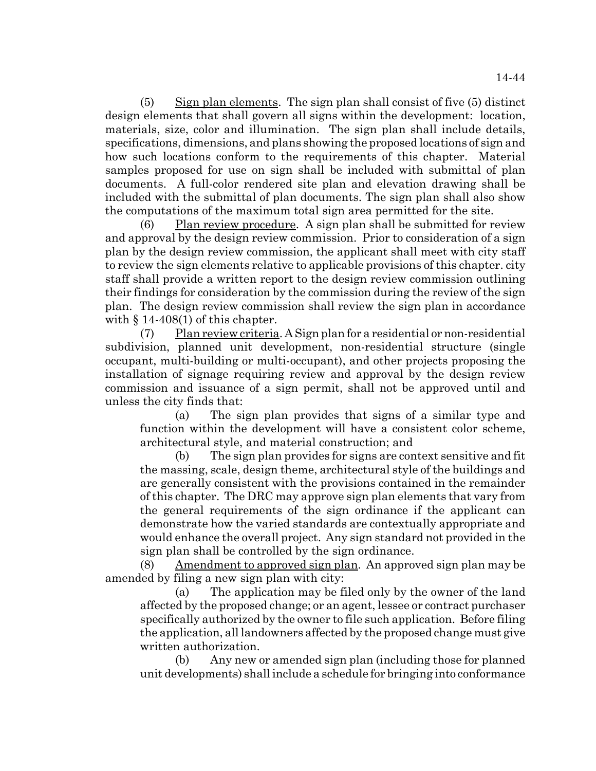(5) Sign plan elements. The sign plan shall consist of five (5) distinct design elements that shall govern all signs within the development: location, materials, size, color and illumination. The sign plan shall include details, specifications, dimensions, and plans showing the proposed locations of sign and how such locations conform to the requirements of this chapter. Material samples proposed for use on sign shall be included with submittal of plan documents. A full-color rendered site plan and elevation drawing shall be included with the submittal of plan documents. The sign plan shall also show the computations of the maximum total sign area permitted for the site.

(6) Plan review procedure. A sign plan shall be submitted for review and approval by the design review commission. Prior to consideration of a sign plan by the design review commission, the applicant shall meet with city staff to review the sign elements relative to applicable provisions of this chapter. city staff shall provide a written report to the design review commission outlining their findings for consideration by the commission during the review of the sign plan. The design review commission shall review the sign plan in accordance with  $\S$  14-408(1) of this chapter.

(7) Plan review criteria. A Sign plan for a residential or non-residential subdivision, planned unit development, non-residential structure (single occupant, multi-building or multi-occupant), and other projects proposing the installation of signage requiring review and approval by the design review commission and issuance of a sign permit, shall not be approved until and unless the city finds that:

(a) The sign plan provides that signs of a similar type and function within the development will have a consistent color scheme, architectural style, and material construction; and

(b) The sign plan provides for signs are context sensitive and fit the massing, scale, design theme, architectural style of the buildings and are generally consistent with the provisions contained in the remainder of this chapter. The DRC may approve sign plan elements that vary from the general requirements of the sign ordinance if the applicant can demonstrate how the varied standards are contextually appropriate and would enhance the overall project. Any sign standard not provided in the sign plan shall be controlled by the sign ordinance.

(8) Amendment to approved sign plan. An approved sign plan may be amended by filing a new sign plan with city:

(a) The application may be filed only by the owner of the land affected by the proposed change; or an agent, lessee or contract purchaser specifically authorized by the owner to file such application. Before filing the application, all landowners affected by the proposed change must give written authorization.

(b) Any new or amended sign plan (including those for planned unit developments) shall include a schedule for bringing into conformance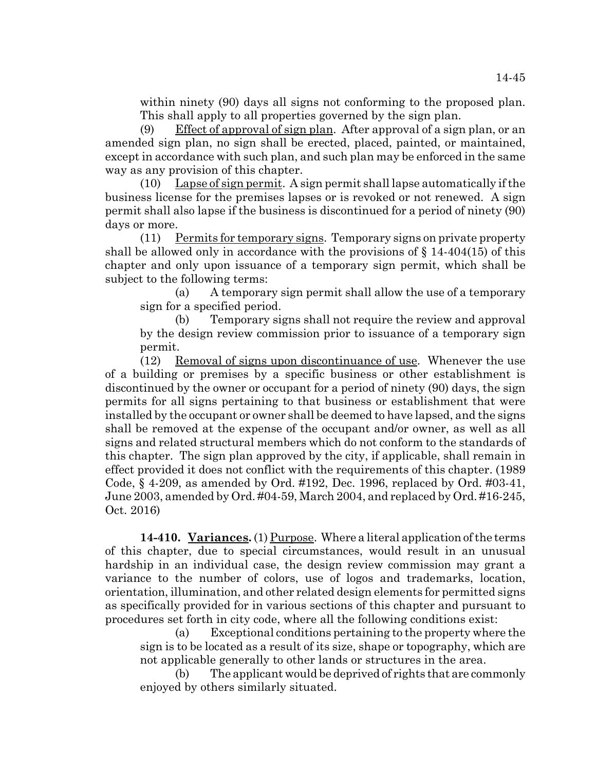within ninety (90) days all signs not conforming to the proposed plan. This shall apply to all properties governed by the sign plan.

(9) Effect of approval of sign plan. After approval of a sign plan, or an amended sign plan, no sign shall be erected, placed, painted, or maintained, except in accordance with such plan, and such plan may be enforced in the same way as any provision of this chapter.

(10) Lapse of sign permit. A sign permit shall lapse automatically if the business license for the premises lapses or is revoked or not renewed. A sign permit shall also lapse if the business is discontinued for a period of ninety (90) days or more.

(11) Permits for temporary signs. Temporary signs on private property shall be allowed only in accordance with the provisions of  $\S$  14-404(15) of this chapter and only upon issuance of a temporary sign permit, which shall be subject to the following terms:

(a) A temporary sign permit shall allow the use of a temporary sign for a specified period.

(b) Temporary signs shall not require the review and approval by the design review commission prior to issuance of a temporary sign permit.

(12) Removal of signs upon discontinuance of use. Whenever the use of a building or premises by a specific business or other establishment is discontinued by the owner or occupant for a period of ninety (90) days, the sign permits for all signs pertaining to that business or establishment that were installed by the occupant or owner shall be deemed to have lapsed, and the signs shall be removed at the expense of the occupant and/or owner, as well as all signs and related structural members which do not conform to the standards of this chapter. The sign plan approved by the city, if applicable, shall remain in effect provided it does not conflict with the requirements of this chapter. (1989 Code, § 4-209, as amended by Ord. #192, Dec. 1996, replaced by Ord. #03-41, June 2003, amended by Ord. #04-59, March 2004, and replaced by Ord. #16-245, Oct. 2016)

**14-410. Variances.** (1) Purpose. Where a literal application of the terms of this chapter, due to special circumstances, would result in an unusual hardship in an individual case, the design review commission may grant a variance to the number of colors, use of logos and trademarks, location, orientation, illumination, and other related design elements for permitted signs as specifically provided for in various sections of this chapter and pursuant to procedures set forth in city code, where all the following conditions exist:

(a) Exceptional conditions pertaining to the property where the sign is to be located as a result of its size, shape or topography, which are not applicable generally to other lands or structures in the area.

(b) The applicant would be deprived of rights that are commonly enjoyed by others similarly situated.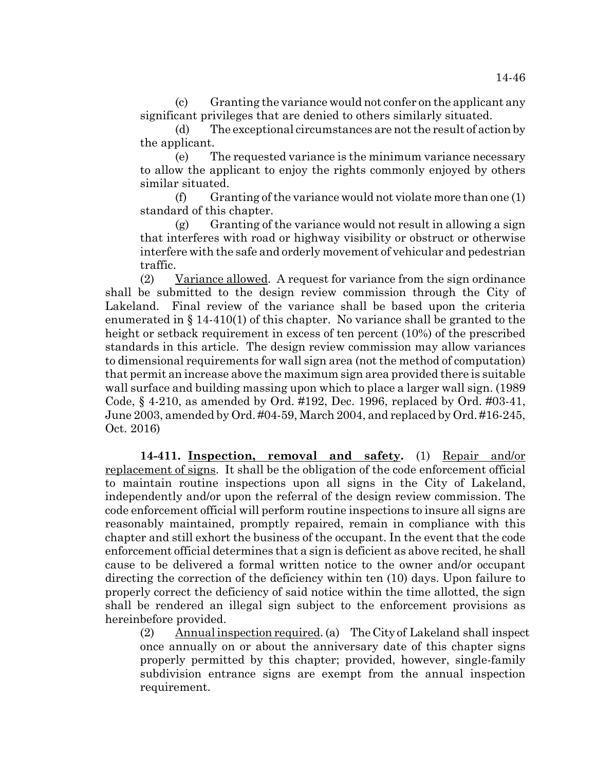(c) Granting the variance would not confer on the applicant any significant privileges that are denied to others similarly situated.

(d) The exceptional circumstances are not the result of action by the applicant.

(e) The requested variance is the minimum variance necessary to allow the applicant to enjoy the rights commonly enjoyed by others similar situated.

 $(f)$  Granting of the variance would not violate more than one  $(1)$ standard of this chapter.

 $(g)$  Granting of the variance would not result in allowing a sign that interferes with road or highway visibility or obstruct or otherwise interfere with the safe and orderly movement of vehicular and pedestrian traffic.

(2) Variance allowed. A request for variance from the sign ordinance shall be submitted to the design review commission through the City of Lakeland. Final review of the variance shall be based upon the criteria enumerated in  $\S 14-410(1)$  of this chapter. No variance shall be granted to the height or setback requirement in excess of ten percent (10%) of the prescribed standards in this article. The design review commission may allow variances to dimensional requirements for wall sign area (not the method of computation) that permit an increase above the maximum sign area provided there is suitable wall surface and building massing upon which to place a larger wall sign. (1989 Code, § 4-210, as amended by Ord. #192, Dec. 1996, replaced by Ord. #03-41, June 2003, amended by Ord. #04-59, March 2004, and replaced by Ord. #16-245, Oct. 2016)

**14-411. Inspection, removal and safety.** (1) Repair and/or replacement of signs. It shall be the obligation of the code enforcement official to maintain routine inspections upon all signs in the City of Lakeland, independently and/or upon the referral of the design review commission. The code enforcement official will perform routine inspections to insure all signs are reasonably maintained, promptly repaired, remain in compliance with this chapter and still exhort the business of the occupant. In the event that the code enforcement official determines that a sign is deficient as above recited, he shall cause to be delivered a formal written notice to the owner and/or occupant directing the correction of the deficiency within ten (10) days. Upon failure to properly correct the deficiency of said notice within the time allotted, the sign shall be rendered an illegal sign subject to the enforcement provisions as hereinbefore provided.

(2) Annual inspection required. (a) The City of Lakeland shall inspect once annually on or about the anniversary date of this chapter signs properly permitted by this chapter; provided, however, single-family subdivision entrance signs are exempt from the annual inspection requirement.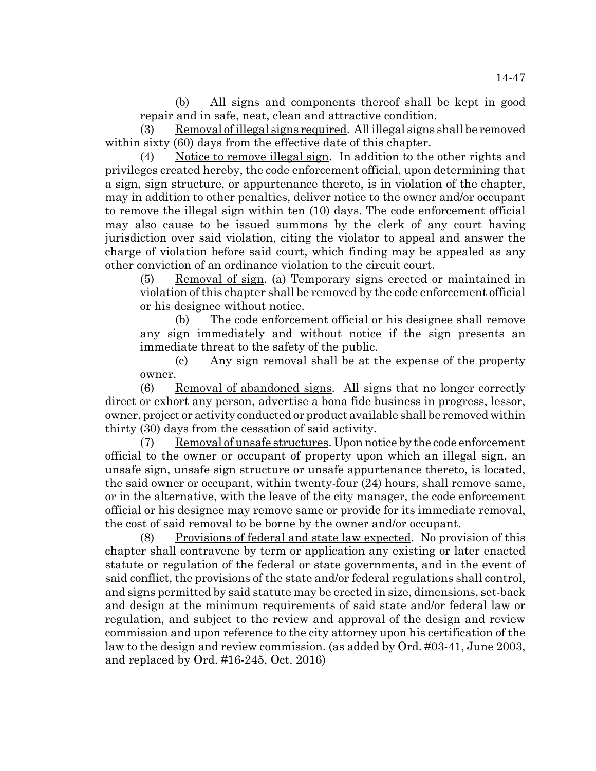(b) All signs and components thereof shall be kept in good repair and in safe, neat, clean and attractive condition.

(3) Removal of illegal signs required. All illegal signs shall be removed within sixty (60) days from the effective date of this chapter.

Notice to remove illegal sign. In addition to the other rights and privileges created hereby, the code enforcement official, upon determining that a sign, sign structure, or appurtenance thereto, is in violation of the chapter, may in addition to other penalties, deliver notice to the owner and/or occupant to remove the illegal sign within ten (10) days. The code enforcement official may also cause to be issued summons by the clerk of any court having jurisdiction over said violation, citing the violator to appeal and answer the charge of violation before said court, which finding may be appealed as any other conviction of an ordinance violation to the circuit court.

(5) Removal of sign. (a) Temporary signs erected or maintained in violation of this chapter shall be removed by the code enforcement official or his designee without notice.

(b) The code enforcement official or his designee shall remove any sign immediately and without notice if the sign presents an immediate threat to the safety of the public.

(c) Any sign removal shall be at the expense of the property owner.

(6) Removal of abandoned signs. All signs that no longer correctly direct or exhort any person, advertise a bona fide business in progress, lessor, owner, project or activity conducted or product available shall be removed within thirty (30) days from the cessation of said activity.

(7) Removal of unsafe structures. Upon notice by the code enforcement official to the owner or occupant of property upon which an illegal sign, an unsafe sign, unsafe sign structure or unsafe appurtenance thereto, is located, the said owner or occupant, within twenty-four (24) hours, shall remove same, or in the alternative, with the leave of the city manager, the code enforcement official or his designee may remove same or provide for its immediate removal, the cost of said removal to be borne by the owner and/or occupant.

(8) Provisions of federal and state law expected. No provision of this chapter shall contravene by term or application any existing or later enacted statute or regulation of the federal or state governments, and in the event of said conflict, the provisions of the state and/or federal regulations shall control, and signs permitted by said statute may be erected in size, dimensions, set-back and design at the minimum requirements of said state and/or federal law or regulation, and subject to the review and approval of the design and review commission and upon reference to the city attorney upon his certification of the law to the design and review commission. (as added by Ord. #03-41, June 2003, and replaced by Ord. #16-245, Oct. 2016)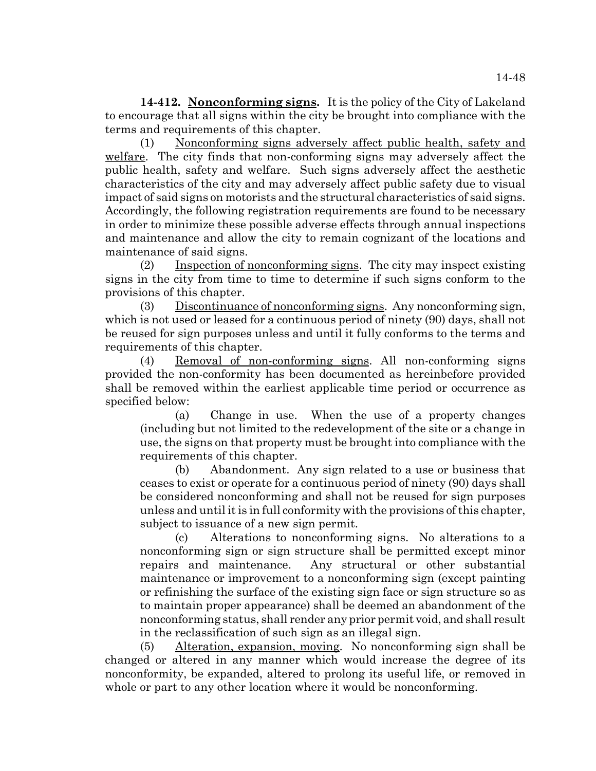**14-412. Nonconforming signs.** It is the policy of the City of Lakeland to encourage that all signs within the city be brought into compliance with the terms and requirements of this chapter.

(1) Nonconforming signs adversely affect public health, safety and welfare. The city finds that non-conforming signs may adversely affect the public health, safety and welfare. Such signs adversely affect the aesthetic characteristics of the city and may adversely affect public safety due to visual impact of said signs on motorists and the structural characteristics of said signs. Accordingly, the following registration requirements are found to be necessary in order to minimize these possible adverse effects through annual inspections and maintenance and allow the city to remain cognizant of the locations and maintenance of said signs.

(2) Inspection of nonconforming signs. The city may inspect existing signs in the city from time to time to determine if such signs conform to the provisions of this chapter.

(3) Discontinuance of nonconforming signs. Any nonconforming sign, which is not used or leased for a continuous period of ninety (90) days, shall not be reused for sign purposes unless and until it fully conforms to the terms and requirements of this chapter.

(4) Removal of non-conforming signs. All non-conforming signs provided the non-conformity has been documented as hereinbefore provided shall be removed within the earliest applicable time period or occurrence as specified below:

(a) Change in use. When the use of a property changes (including but not limited to the redevelopment of the site or a change in use, the signs on that property must be brought into compliance with the requirements of this chapter.

(b) Abandonment. Any sign related to a use or business that ceases to exist or operate for a continuous period of ninety (90) days shall be considered nonconforming and shall not be reused for sign purposes unless and until it is in full conformity with the provisions of this chapter, subject to issuance of a new sign permit.

(c) Alterations to nonconforming signs. No alterations to a nonconforming sign or sign structure shall be permitted except minor repairs and maintenance. Any structural or other substantial maintenance or improvement to a nonconforming sign (except painting or refinishing the surface of the existing sign face or sign structure so as to maintain proper appearance) shall be deemed an abandonment of the nonconforming status, shall render any prior permit void, and shall result in the reclassification of such sign as an illegal sign.

(5) Alteration, expansion, moving. No nonconforming sign shall be changed or altered in any manner which would increase the degree of its nonconformity, be expanded, altered to prolong its useful life, or removed in whole or part to any other location where it would be nonconforming.